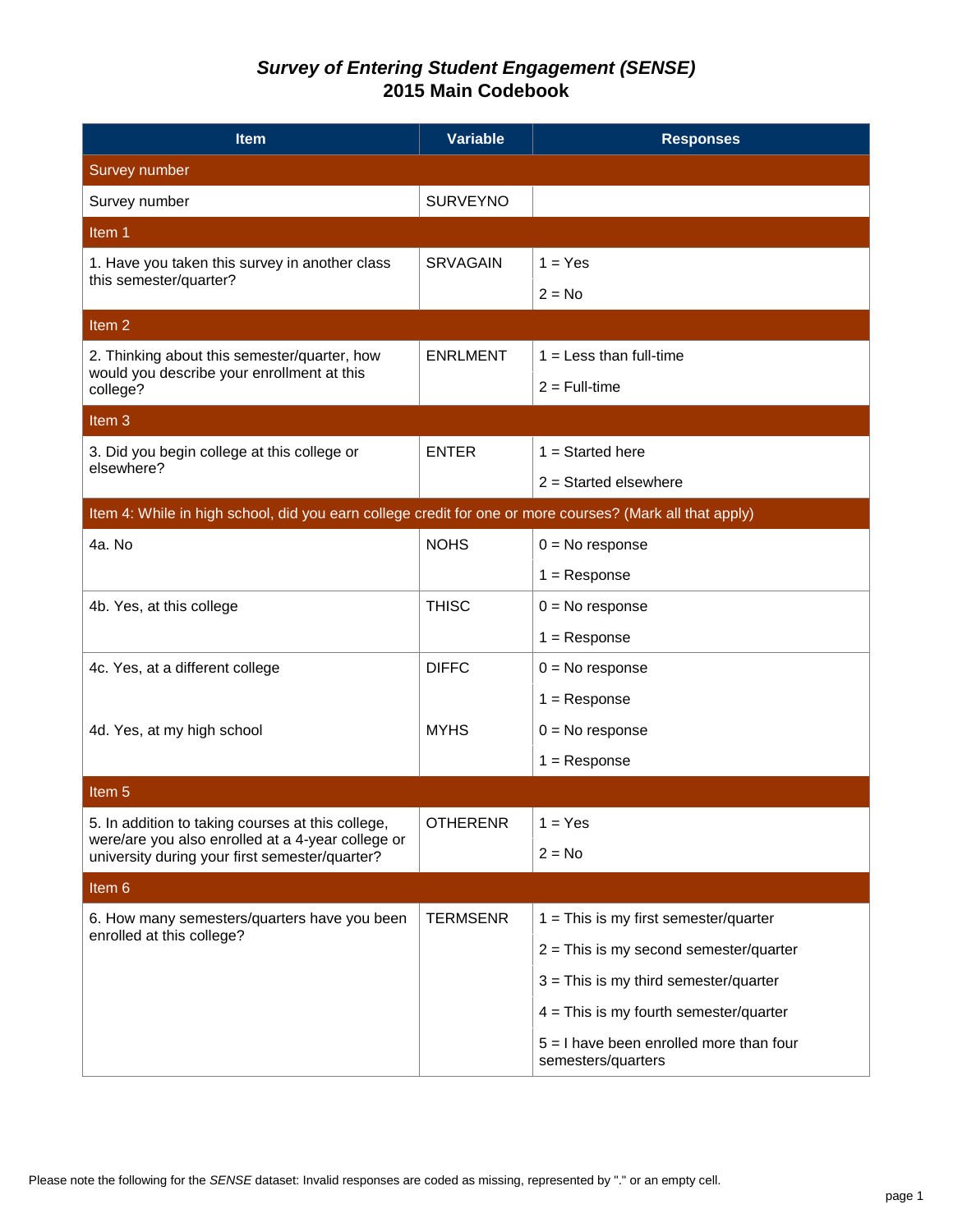| <b>Item</b>                                                                                              | <b>Variable</b> | <b>Responses</b>                                                |
|----------------------------------------------------------------------------------------------------------|-----------------|-----------------------------------------------------------------|
| Survey number                                                                                            |                 |                                                                 |
| Survey number                                                                                            | <b>SURVEYNO</b> |                                                                 |
| Item 1                                                                                                   |                 |                                                                 |
| 1. Have you taken this survey in another class                                                           | <b>SRVAGAIN</b> | $1 = Yes$                                                       |
| this semester/quarter?                                                                                   |                 | $2 = No$                                                        |
| Item <sub>2</sub>                                                                                        |                 |                                                                 |
| 2. Thinking about this semester/quarter, how                                                             | <b>ENRLMENT</b> | $1 =$ Less than full-time                                       |
| would you describe your enrollment at this<br>college?                                                   |                 | $2 = Full-time$                                                 |
| Item <sub>3</sub>                                                                                        |                 |                                                                 |
| 3. Did you begin college at this college or                                                              | <b>ENTER</b>    | $1 =$ Started here                                              |
| elsewhere?                                                                                               |                 | $2 =$ Started elsewhere                                         |
| Item 4: While in high school, did you earn college credit for one or more courses? (Mark all that apply) |                 |                                                                 |
| 4a. No                                                                                                   | <b>NOHS</b>     | $0 = No$ response                                               |
|                                                                                                          |                 | $1 =$ Response                                                  |
| 4b. Yes, at this college                                                                                 | <b>THISC</b>    | $0 = No$ response                                               |
|                                                                                                          |                 | $1 =$ Response                                                  |
| 4c. Yes, at a different college                                                                          | <b>DIFFC</b>    | $0 = No$ response                                               |
|                                                                                                          |                 | $1 =$ Response                                                  |
| 4d. Yes, at my high school                                                                               | <b>MYHS</b>     | $0 = No$ response                                               |
|                                                                                                          |                 | $1 =$ Response                                                  |
| Item 5                                                                                                   |                 |                                                                 |
| 5. In addition to taking courses at this college,                                                        | <b>OTHERENR</b> | $1 = Yes$                                                       |
| were/are you also enrolled at a 4-year college or<br>university during your first semester/quarter?      |                 | $2 = No$                                                        |
| Item 6                                                                                                   |                 |                                                                 |
| 6. How many semesters/quarters have you been                                                             | <b>TERMSENR</b> | $1 =$ This is my first semester/quarter                         |
| enrolled at this college?                                                                                |                 | $2 =$ This is my second semester/quarter                        |
|                                                                                                          |                 | $3$ = This is my third semester/quarter                         |
|                                                                                                          |                 | $4 =$ This is my fourth semester/quarter                        |
|                                                                                                          |                 | $5 = 1$ have been enrolled more than four<br>semesters/quarters |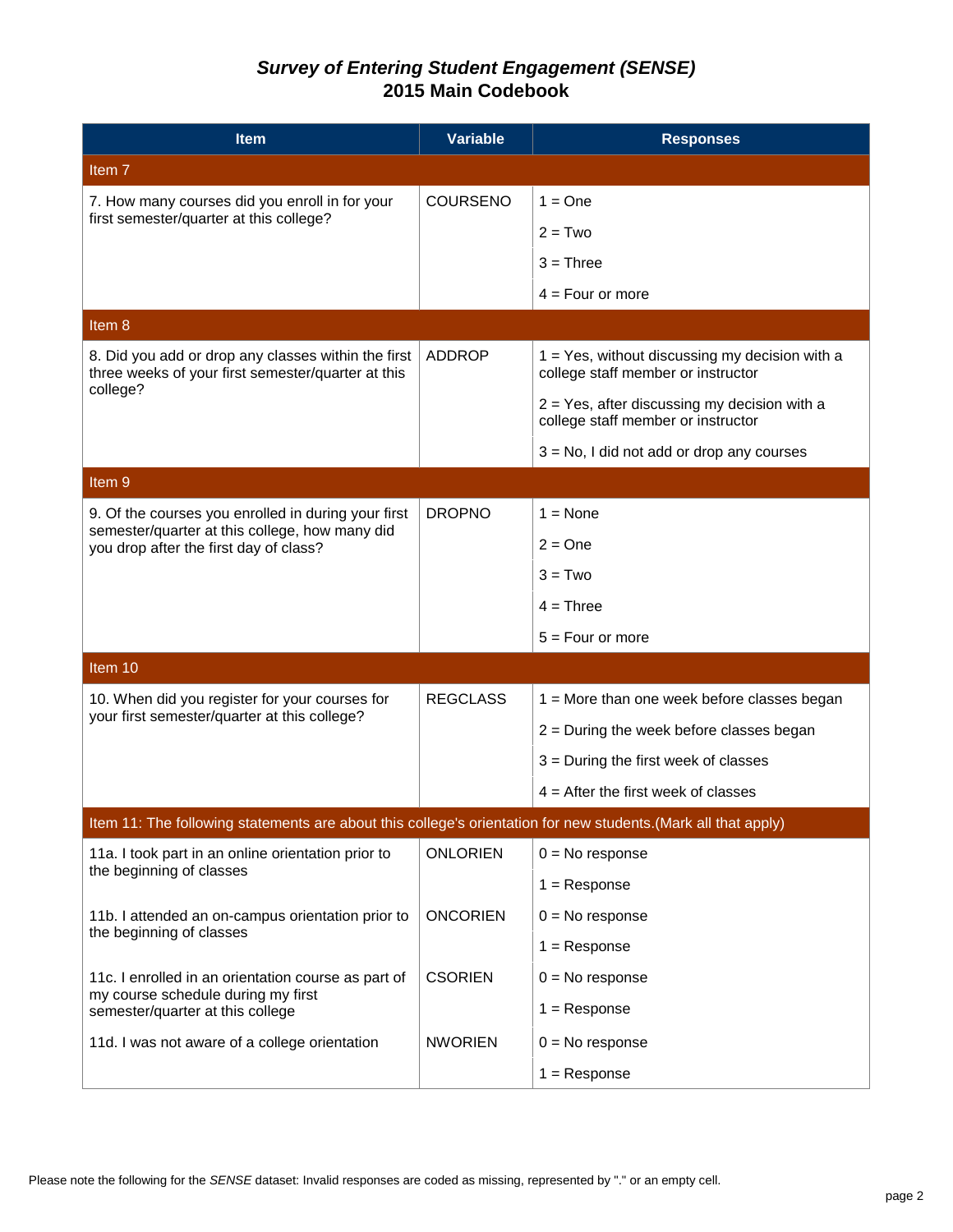| <b>Item</b>                                                                                                    | <b>Variable</b> | <b>Responses</b>                                                                        |
|----------------------------------------------------------------------------------------------------------------|-----------------|-----------------------------------------------------------------------------------------|
| Item <sub>7</sub>                                                                                              |                 |                                                                                         |
| 7. How many courses did you enroll in for your                                                                 | <b>COURSENO</b> | $1 = One$                                                                               |
| first semester/quarter at this college?                                                                        |                 | $2 = Two$                                                                               |
|                                                                                                                |                 | $3 =$ Three                                                                             |
|                                                                                                                |                 | $4 = Four$ or more                                                                      |
| Item 8                                                                                                         |                 |                                                                                         |
| 8. Did you add or drop any classes within the first<br>three weeks of your first semester/quarter at this      | ADDROP          | $1 = Yes$ , without discussing my decision with a<br>college staff member or instructor |
| college?                                                                                                       |                 | $2 = Yes$ , after discussing my decision with a<br>college staff member or instructor   |
|                                                                                                                |                 | $3 = No$ , I did not add or drop any courses                                            |
| Item <sub>9</sub>                                                                                              |                 |                                                                                         |
| 9. Of the courses you enrolled in during your first                                                            | <b>DROPNO</b>   | $1 = \text{None}$                                                                       |
| semester/quarter at this college, how many did<br>you drop after the first day of class?                       |                 | $2 = One$                                                                               |
|                                                                                                                |                 | $3 = Two$                                                                               |
|                                                                                                                |                 | $4 =$ Three                                                                             |
|                                                                                                                |                 | $5 = Four$ or more                                                                      |
| Item 10                                                                                                        |                 |                                                                                         |
| 10. When did you register for your courses for                                                                 | <b>REGCLASS</b> | $1 =$ More than one week before classes began                                           |
| your first semester/quarter at this college?                                                                   |                 | $2$ = During the week before classes began                                              |
|                                                                                                                |                 | $3$ = During the first week of classes                                                  |
|                                                                                                                |                 | $4$ = After the first week of classes                                                   |
| Item 11: The following statements are about this college's orientation for new students. (Mark all that apply) |                 |                                                                                         |
| 11a. I took part in an online orientation prior to                                                             | <b>ONLORIEN</b> | $0 = No$ response                                                                       |
| the beginning of classes                                                                                       |                 | $1 =$ Response                                                                          |
| 11b. I attended an on-campus orientation prior to                                                              | <b>ONCORIEN</b> | $0 = No$ response                                                                       |
| the beginning of classes                                                                                       |                 | $1 =$ Response                                                                          |
| 11c. I enrolled in an orientation course as part of                                                            | <b>CSORIEN</b>  | $0 = No$ response                                                                       |
| my course schedule during my first<br>semester/quarter at this college                                         |                 | $1 =$ Response                                                                          |
| 11d. I was not aware of a college orientation                                                                  | <b>NWORIEN</b>  | $0 = No$ response                                                                       |
|                                                                                                                |                 | $1 =$ Response                                                                          |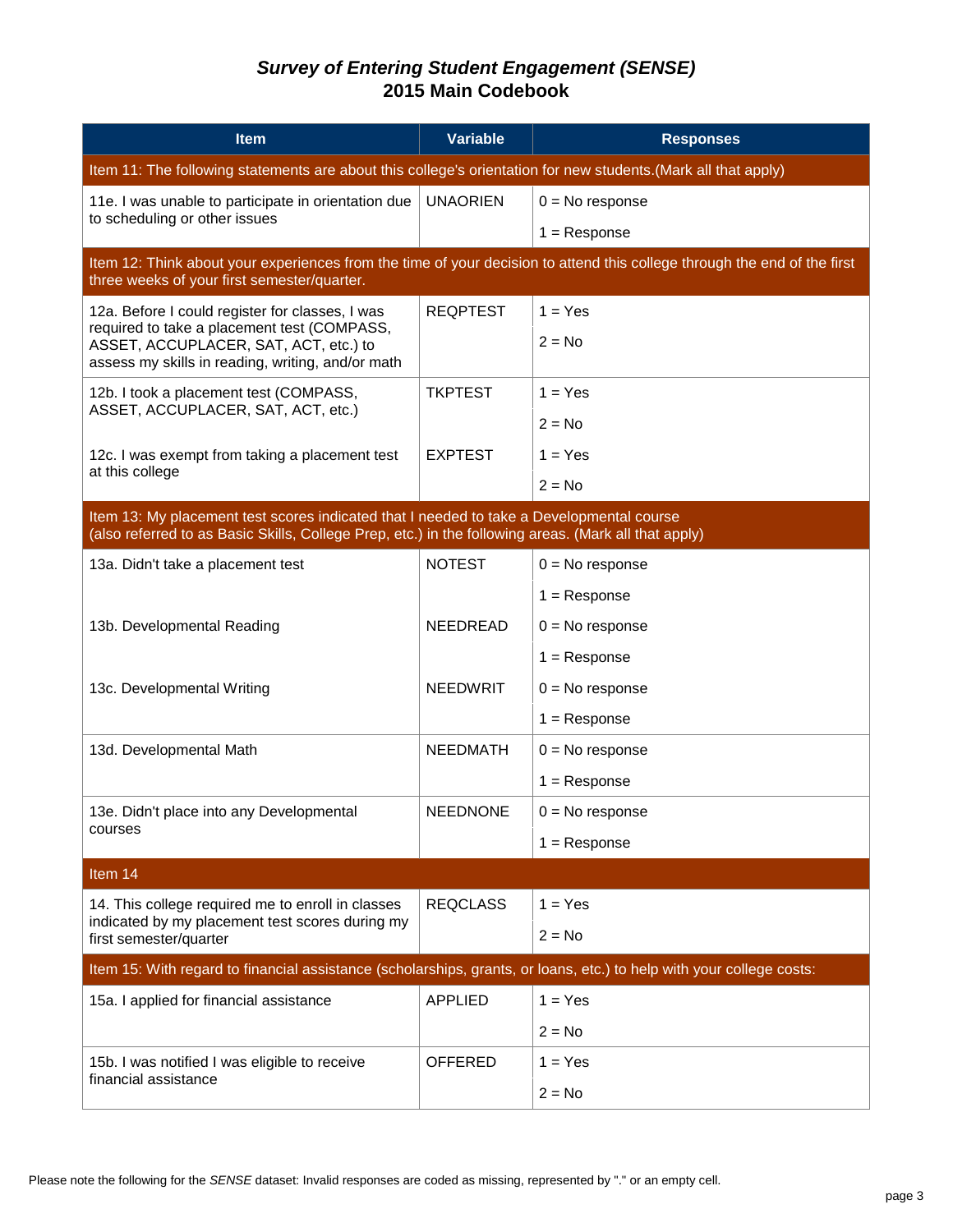| <b>Item</b>                                                                                                                                                                                      | <b>Variable</b> | <b>Responses</b>  |  |
|--------------------------------------------------------------------------------------------------------------------------------------------------------------------------------------------------|-----------------|-------------------|--|
| Item 11: The following statements are about this college's orientation for new students. (Mark all that apply)                                                                                   |                 |                   |  |
| 11e. I was unable to participate in orientation due                                                                                                                                              | <b>UNAORIEN</b> | $0 = No$ response |  |
| to scheduling or other issues                                                                                                                                                                    |                 | $1 =$ Response    |  |
| Item 12: Think about your experiences from the time of your decision to attend this college through the end of the first<br>three weeks of your first semester/quarter.                          |                 |                   |  |
| 12a. Before I could register for classes, I was                                                                                                                                                  | <b>REQPTEST</b> | $1 = Yes$         |  |
| required to take a placement test (COMPASS,<br>ASSET, ACCUPLACER, SAT, ACT, etc.) to<br>assess my skills in reading, writing, and/or math                                                        |                 | $2 = No$          |  |
| 12b. I took a placement test (COMPASS,                                                                                                                                                           | <b>TKPTEST</b>  | $1 = Yes$         |  |
| ASSET, ACCUPLACER, SAT, ACT, etc.)                                                                                                                                                               |                 | $2 = No$          |  |
| 12c. I was exempt from taking a placement test                                                                                                                                                   | <b>EXPTEST</b>  | $1 = Yes$         |  |
| at this college                                                                                                                                                                                  |                 | $2 = No$          |  |
| Item 13: My placement test scores indicated that I needed to take a Developmental course<br>(also referred to as Basic Skills, College Prep, etc.) in the following areas. (Mark all that apply) |                 |                   |  |
| 13a. Didn't take a placement test                                                                                                                                                                | <b>NOTEST</b>   | $0 = No$ response |  |
|                                                                                                                                                                                                  |                 | $1 =$ Response    |  |
| 13b. Developmental Reading                                                                                                                                                                       | <b>NEEDREAD</b> | $0 = No$ response |  |
|                                                                                                                                                                                                  |                 | $1 =$ Response    |  |
| 13c. Developmental Writing                                                                                                                                                                       | <b>NEEDWRIT</b> | $0 = No$ response |  |
|                                                                                                                                                                                                  |                 | $1 =$ Response    |  |
| 13d. Developmental Math                                                                                                                                                                          | <b>NEEDMATH</b> | $0 = No$ response |  |
|                                                                                                                                                                                                  |                 | $1 =$ Response    |  |
| 13e. Didn't place into any Developmental<br>courses                                                                                                                                              | <b>NEEDNONE</b> | $0 = No$ response |  |
|                                                                                                                                                                                                  |                 | $1 =$ Response    |  |
| Item 14                                                                                                                                                                                          |                 |                   |  |
| 14. This college required me to enroll in classes<br>indicated by my placement test scores during my                                                                                             | <b>REQCLASS</b> | $1 = Yes$         |  |
| first semester/quarter                                                                                                                                                                           |                 | $2 = No$          |  |
| Item 15: With regard to financial assistance (scholarships, grants, or loans, etc.) to help with your college costs:                                                                             |                 |                   |  |
| 15a. I applied for financial assistance                                                                                                                                                          | <b>APPLIED</b>  | $1 = Yes$         |  |
|                                                                                                                                                                                                  |                 | $2 = No$          |  |
| 15b. I was notified I was eligible to receive                                                                                                                                                    | <b>OFFERED</b>  | $1 = Yes$         |  |
| financial assistance                                                                                                                                                                             |                 | $2 = No$          |  |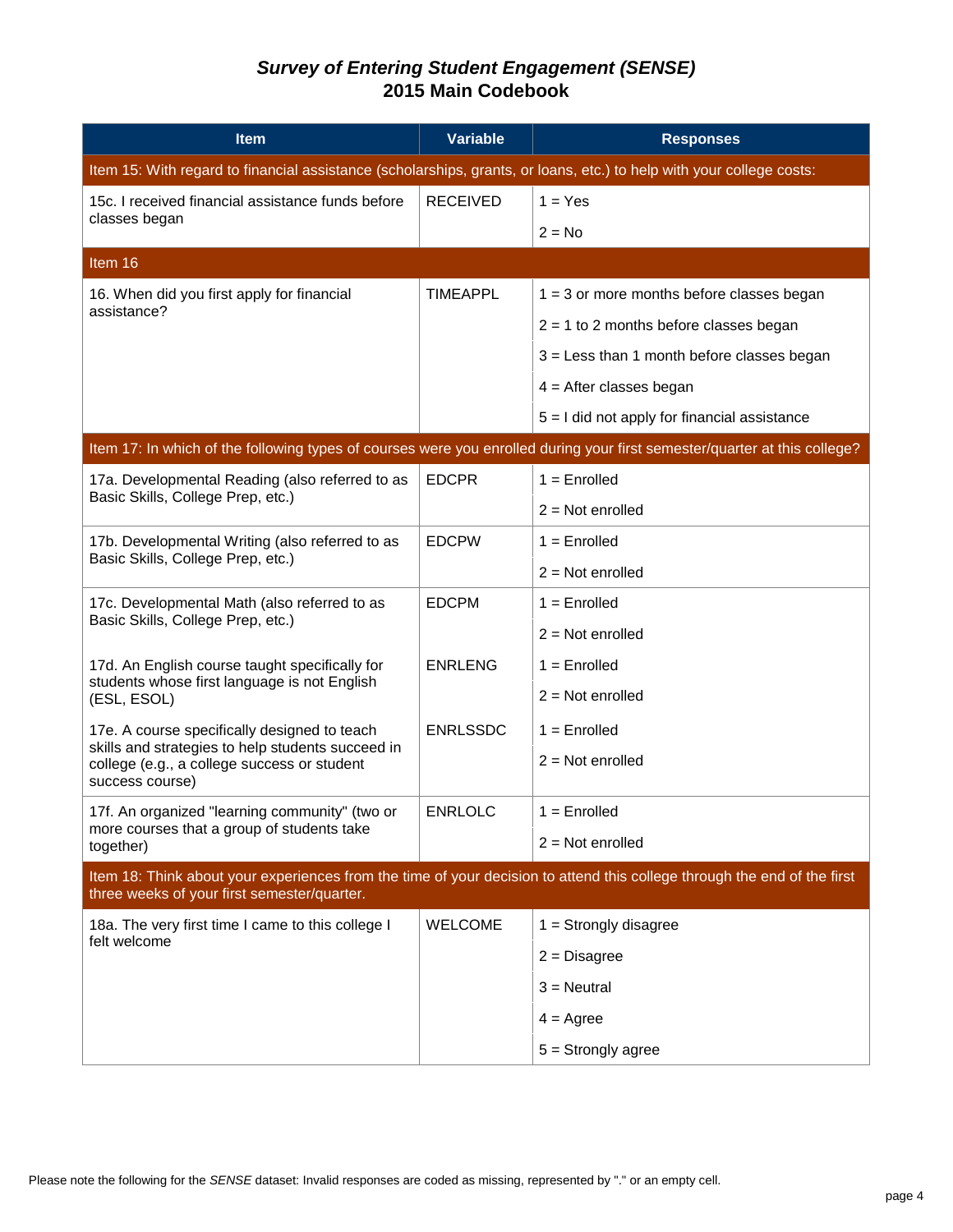| <b>Item</b>                                                                                                                                                             | Variable        | <b>Responses</b>                                                                                                          |  |
|-------------------------------------------------------------------------------------------------------------------------------------------------------------------------|-----------------|---------------------------------------------------------------------------------------------------------------------------|--|
| Item 15: With regard to financial assistance (scholarships, grants, or loans, etc.) to help with your college costs:                                                    |                 |                                                                                                                           |  |
| 15c. I received financial assistance funds before                                                                                                                       | <b>RECEIVED</b> | $1 = Yes$                                                                                                                 |  |
| classes began                                                                                                                                                           |                 | $2 = No$                                                                                                                  |  |
| Item 16                                                                                                                                                                 |                 |                                                                                                                           |  |
| 16. When did you first apply for financial                                                                                                                              | <b>TIMEAPPL</b> | $1 = 3$ or more months before classes began                                                                               |  |
| assistance?                                                                                                                                                             |                 | $2 = 1$ to 2 months before classes began                                                                                  |  |
|                                                                                                                                                                         |                 | $3 =$ Less than 1 month before classes began                                                                              |  |
|                                                                                                                                                                         |                 | $4 =$ After classes began                                                                                                 |  |
|                                                                                                                                                                         |                 | $5 = 1$ did not apply for financial assistance                                                                            |  |
|                                                                                                                                                                         |                 | Item 17: In which of the following types of courses were you enrolled during your first semester/quarter at this college? |  |
| 17a. Developmental Reading (also referred to as                                                                                                                         | <b>EDCPR</b>    | $1 =$ Enrolled                                                                                                            |  |
| Basic Skills, College Prep, etc.)                                                                                                                                       |                 | $2 = Not enrolled$                                                                                                        |  |
| 17b. Developmental Writing (also referred to as                                                                                                                         | <b>EDCPW</b>    | $1 =$ Enrolled                                                                                                            |  |
| Basic Skills, College Prep, etc.)                                                                                                                                       |                 | $2 = Not enrolled$                                                                                                        |  |
| 17c. Developmental Math (also referred to as                                                                                                                            | <b>EDCPM</b>    | $1 =$ Enrolled                                                                                                            |  |
| Basic Skills, College Prep, etc.)                                                                                                                                       |                 | $2 = Not$ enrolled                                                                                                        |  |
| 17d. An English course taught specifically for                                                                                                                          | <b>ENRLENG</b>  | $1 =$ Enrolled                                                                                                            |  |
| students whose first language is not English<br>(ESL, ESOL)                                                                                                             |                 | $2 = Not$ enrolled                                                                                                        |  |
| 17e. A course specifically designed to teach                                                                                                                            | <b>ENRLSSDC</b> | $1 =$ Enrolled                                                                                                            |  |
| skills and strategies to help students succeed in<br>college (e.g., a college success or student                                                                        |                 | $2 = Not enrolled$                                                                                                        |  |
| success course)                                                                                                                                                         |                 |                                                                                                                           |  |
| 17f. An organized "learning community" (two or<br>more courses that a group of students take                                                                            | <b>ENRLOLC</b>  | $1 =$ Enrolled                                                                                                            |  |
| together)                                                                                                                                                               |                 | $2 = Not$ enrolled                                                                                                        |  |
| Item 18: Think about your experiences from the time of your decision to attend this college through the end of the first<br>three weeks of your first semester/quarter. |                 |                                                                                                                           |  |
| 18a. The very first time I came to this college I                                                                                                                       | <b>WELCOME</b>  | $1 =$ Strongly disagree                                                                                                   |  |
| felt welcome                                                                                                                                                            |                 | $2 = Disagree$                                                                                                            |  |
|                                                                                                                                                                         |                 | $3$ = Neutral                                                                                                             |  |
|                                                                                                                                                                         |                 | $4 = \text{Agree}$                                                                                                        |  |
|                                                                                                                                                                         |                 | $5 =$ Strongly agree                                                                                                      |  |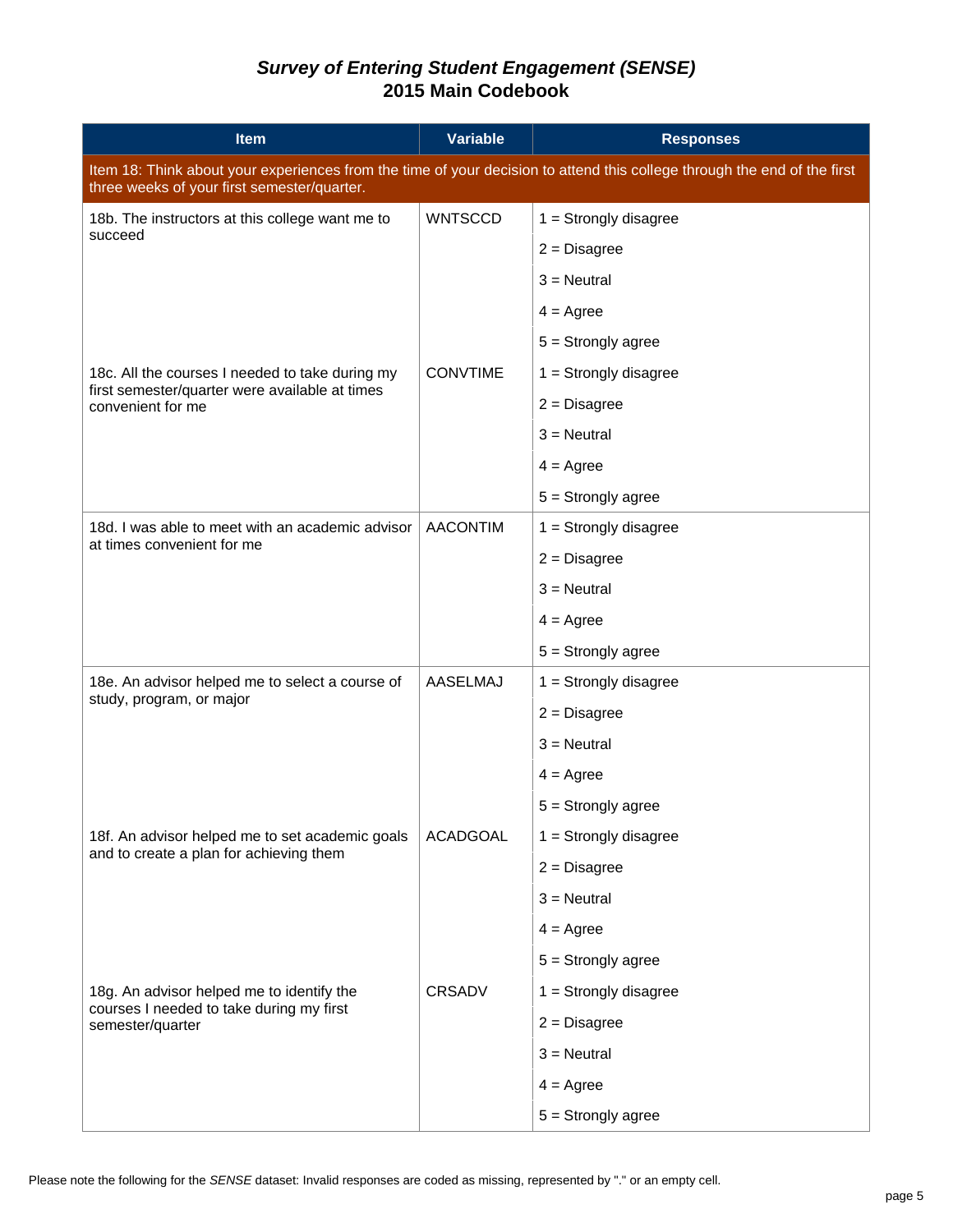| <b>Item</b>                                                                                                                                                             | <b>Variable</b> | <b>Responses</b>        |
|-------------------------------------------------------------------------------------------------------------------------------------------------------------------------|-----------------|-------------------------|
| Item 18: Think about your experiences from the time of your decision to attend this college through the end of the first<br>three weeks of your first semester/quarter. |                 |                         |
| 18b. The instructors at this college want me to                                                                                                                         | <b>WNTSCCD</b>  | $1 =$ Strongly disagree |
| succeed                                                                                                                                                                 |                 | $2 = Disagree$          |
|                                                                                                                                                                         |                 | $3$ = Neutral           |
|                                                                                                                                                                         |                 | $4 = \text{Agree}$      |
|                                                                                                                                                                         |                 | $5 =$ Strongly agree    |
| 18c. All the courses I needed to take during my                                                                                                                         | <b>CONVTIME</b> | $1 =$ Strongly disagree |
| first semester/quarter were available at times<br>convenient for me                                                                                                     |                 | $2 = Disagree$          |
|                                                                                                                                                                         |                 | $3$ = Neutral           |
|                                                                                                                                                                         |                 | $4 = \text{Agree}$      |
|                                                                                                                                                                         |                 | $5 =$ Strongly agree    |
| 18d. I was able to meet with an academic advisor<br>at times convenient for me                                                                                          | <b>AACONTIM</b> | $1 =$ Strongly disagree |
|                                                                                                                                                                         |                 | $2 = Disagree$          |
|                                                                                                                                                                         |                 | $3$ = Neutral           |
|                                                                                                                                                                         |                 | $4 = \text{Agree}$      |
|                                                                                                                                                                         |                 | $5 =$ Strongly agree    |
| 18e. An advisor helped me to select a course of<br>study, program, or major                                                                                             | AASELMAJ        | $1 =$ Strongly disagree |
|                                                                                                                                                                         |                 | $2 = Disagree$          |
|                                                                                                                                                                         |                 | $3$ = Neutral           |
|                                                                                                                                                                         |                 | $4 = \text{Agree}$      |
|                                                                                                                                                                         |                 | $5 =$ Strongly agree    |
| 18f. An advisor helped me to set academic goals<br>and to create a plan for achieving them                                                                              | <b>ACADGOAL</b> | $1 =$ Strongly disagree |
|                                                                                                                                                                         |                 | $2 = Disagree$          |
|                                                                                                                                                                         |                 | $3$ = Neutral           |
|                                                                                                                                                                         |                 | $4 = \text{Agree}$      |
|                                                                                                                                                                         |                 | $5 =$ Strongly agree    |
| 18g. An advisor helped me to identify the                                                                                                                               | <b>CRSADV</b>   | $1 =$ Strongly disagree |
| courses I needed to take during my first<br>semester/quarter                                                                                                            |                 | $2 = Disagree$          |
|                                                                                                                                                                         |                 | $3 =$ Neutral           |
|                                                                                                                                                                         |                 | $4 = \text{Agree}$      |
|                                                                                                                                                                         |                 | $5 =$ Strongly agree    |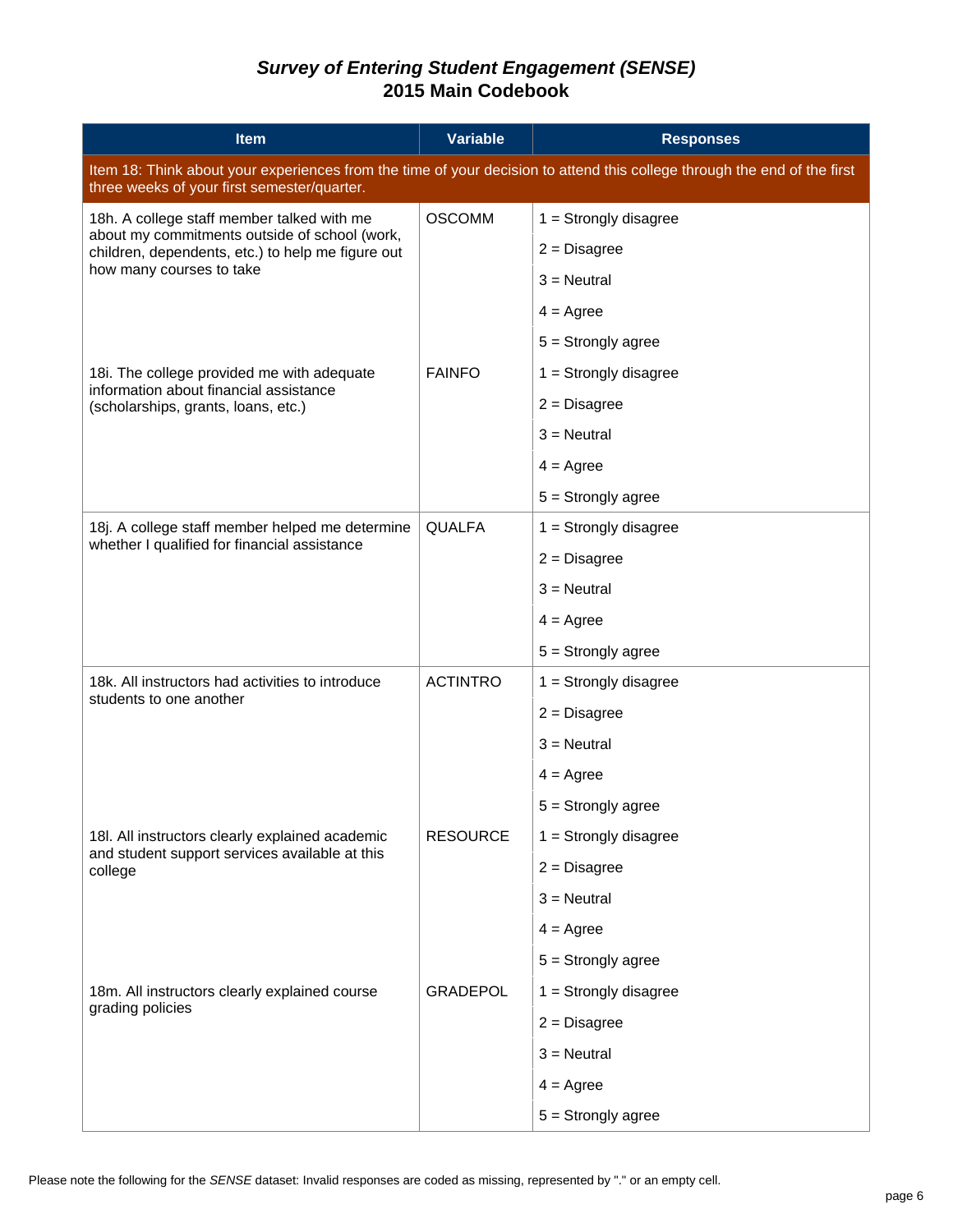| <b>Item</b>                                                                                                                                                             | <b>Variable</b> | <b>Responses</b>        |  |  |
|-------------------------------------------------------------------------------------------------------------------------------------------------------------------------|-----------------|-------------------------|--|--|
| Item 18: Think about your experiences from the time of your decision to attend this college through the end of the first<br>three weeks of your first semester/quarter. |                 |                         |  |  |
| 18h. A college staff member talked with me                                                                                                                              | <b>OSCOMM</b>   | $1 =$ Strongly disagree |  |  |
| about my commitments outside of school (work,<br>children, dependents, etc.) to help me figure out                                                                      |                 | $2 = Disagree$          |  |  |
| how many courses to take                                                                                                                                                |                 | $3$ = Neutral           |  |  |
|                                                                                                                                                                         |                 | $4 = \text{Agree}$      |  |  |
|                                                                                                                                                                         |                 | $5 =$ Strongly agree    |  |  |
| 18i. The college provided me with adequate<br>information about financial assistance                                                                                    | <b>FAINFO</b>   | $1 =$ Strongly disagree |  |  |
| (scholarships, grants, loans, etc.)                                                                                                                                     |                 | $2 = Disagree$          |  |  |
|                                                                                                                                                                         |                 | $3$ = Neutral           |  |  |
|                                                                                                                                                                         |                 | $4 = \text{Agree}$      |  |  |
|                                                                                                                                                                         |                 | $5 =$ Strongly agree    |  |  |
| 18j. A college staff member helped me determine<br>whether I qualified for financial assistance                                                                         | <b>QUALFA</b>   | $1 =$ Strongly disagree |  |  |
|                                                                                                                                                                         |                 | $2 = Disagree$          |  |  |
|                                                                                                                                                                         |                 | $3$ = Neutral           |  |  |
|                                                                                                                                                                         |                 | $4 = \text{Agree}$      |  |  |
|                                                                                                                                                                         |                 | $5 =$ Strongly agree    |  |  |
| 18k. All instructors had activities to introduce<br>students to one another                                                                                             | <b>ACTINTRO</b> | $1 =$ Strongly disagree |  |  |
|                                                                                                                                                                         |                 | $2 = Disagree$          |  |  |
|                                                                                                                                                                         |                 | $3$ = Neutral           |  |  |
|                                                                                                                                                                         |                 | $4 = \text{Agree}$      |  |  |
|                                                                                                                                                                         |                 | $5 =$ Strongly agree    |  |  |
| 18I. All instructors clearly explained academic<br>and student support services available at this                                                                       | <b>RESOURCE</b> | $1 =$ Strongly disagree |  |  |
| college                                                                                                                                                                 |                 | $2 = Disagree$          |  |  |
|                                                                                                                                                                         |                 | $3$ = Neutral           |  |  |
|                                                                                                                                                                         |                 | $4 = \text{Agree}$      |  |  |
|                                                                                                                                                                         |                 | $5 =$ Strongly agree    |  |  |
| 18m. All instructors clearly explained course                                                                                                                           | <b>GRADEPOL</b> | $1 =$ Strongly disagree |  |  |
| grading policies                                                                                                                                                        |                 | $2 = Disagree$          |  |  |
|                                                                                                                                                                         |                 | $3 =$ Neutral           |  |  |
|                                                                                                                                                                         |                 | $4 = \text{Agree}$      |  |  |
|                                                                                                                                                                         |                 | $5 =$ Strongly agree    |  |  |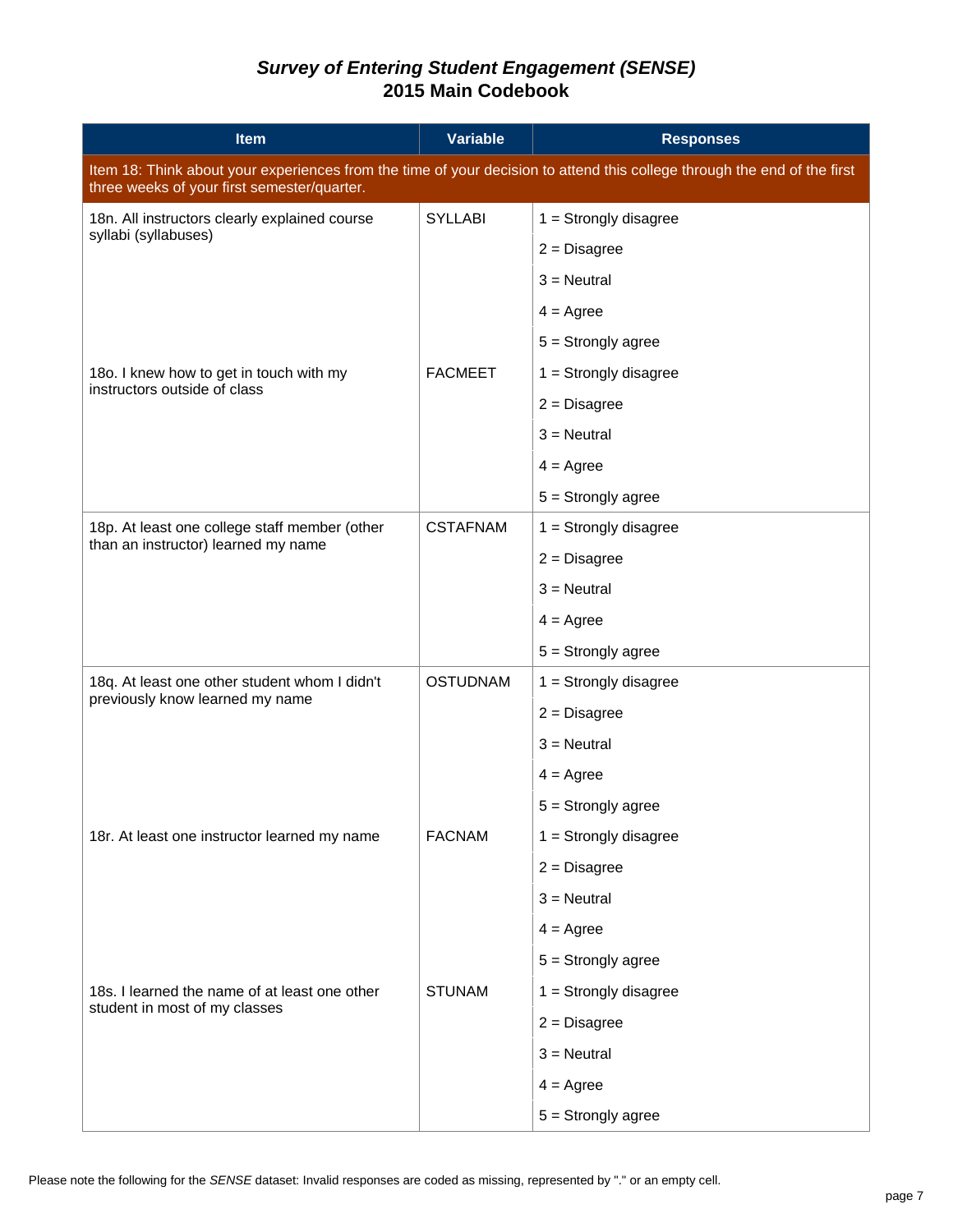| <b>Item</b>                                                                                                                                                             | <b>Variable</b> | <b>Responses</b>        |  |
|-------------------------------------------------------------------------------------------------------------------------------------------------------------------------|-----------------|-------------------------|--|
| Item 18: Think about your experiences from the time of your decision to attend this college through the end of the first<br>three weeks of your first semester/quarter. |                 |                         |  |
| 18n. All instructors clearly explained course                                                                                                                           | <b>SYLLABI</b>  | $1 =$ Strongly disagree |  |
| syllabi (syllabuses)                                                                                                                                                    |                 | $2 = Disagree$          |  |
|                                                                                                                                                                         |                 | $3$ = Neutral           |  |
|                                                                                                                                                                         |                 | $4 = \text{Agree}$      |  |
|                                                                                                                                                                         |                 | $5 =$ Strongly agree    |  |
| 180. I knew how to get in touch with my                                                                                                                                 | <b>FACMEET</b>  | $1 =$ Strongly disagree |  |
| instructors outside of class                                                                                                                                            |                 | $2 = Disagree$          |  |
|                                                                                                                                                                         |                 | $3$ = Neutral           |  |
|                                                                                                                                                                         |                 | $4 = \text{Agree}$      |  |
|                                                                                                                                                                         |                 | $5 =$ Strongly agree    |  |
| 18p. At least one college staff member (other                                                                                                                           | <b>CSTAFNAM</b> | $1 =$ Strongly disagree |  |
| than an instructor) learned my name                                                                                                                                     |                 | $2 = Disagree$          |  |
|                                                                                                                                                                         |                 | $3$ = Neutral           |  |
|                                                                                                                                                                         |                 | $4 = \text{Agree}$      |  |
|                                                                                                                                                                         |                 | $5 =$ Strongly agree    |  |
| 18q. At least one other student whom I didn't                                                                                                                           | <b>OSTUDNAM</b> | $1 =$ Strongly disagree |  |
| previously know learned my name                                                                                                                                         |                 | $2 = Disagree$          |  |
|                                                                                                                                                                         |                 | $3 =$ Neutral           |  |
|                                                                                                                                                                         |                 | $4 = \text{Agree}$      |  |
|                                                                                                                                                                         |                 | $5 =$ Strongly agree    |  |
| 18r. At least one instructor learned my name                                                                                                                            | <b>FACNAM</b>   | $1 =$ Strongly disagree |  |
|                                                                                                                                                                         |                 | $2 = Disagree$          |  |
|                                                                                                                                                                         |                 | $3 =$ Neutral           |  |
|                                                                                                                                                                         |                 | $4 = \text{Agree}$      |  |
|                                                                                                                                                                         |                 | $5 =$ Strongly agree    |  |
| 18s. I learned the name of at least one other                                                                                                                           | <b>STUNAM</b>   | $1 =$ Strongly disagree |  |
| student in most of my classes                                                                                                                                           |                 | $2 = Disagree$          |  |
|                                                                                                                                                                         |                 | $3 =$ Neutral           |  |
|                                                                                                                                                                         |                 | $4 = \text{Agree}$      |  |
|                                                                                                                                                                         |                 | $5 =$ Strongly agree    |  |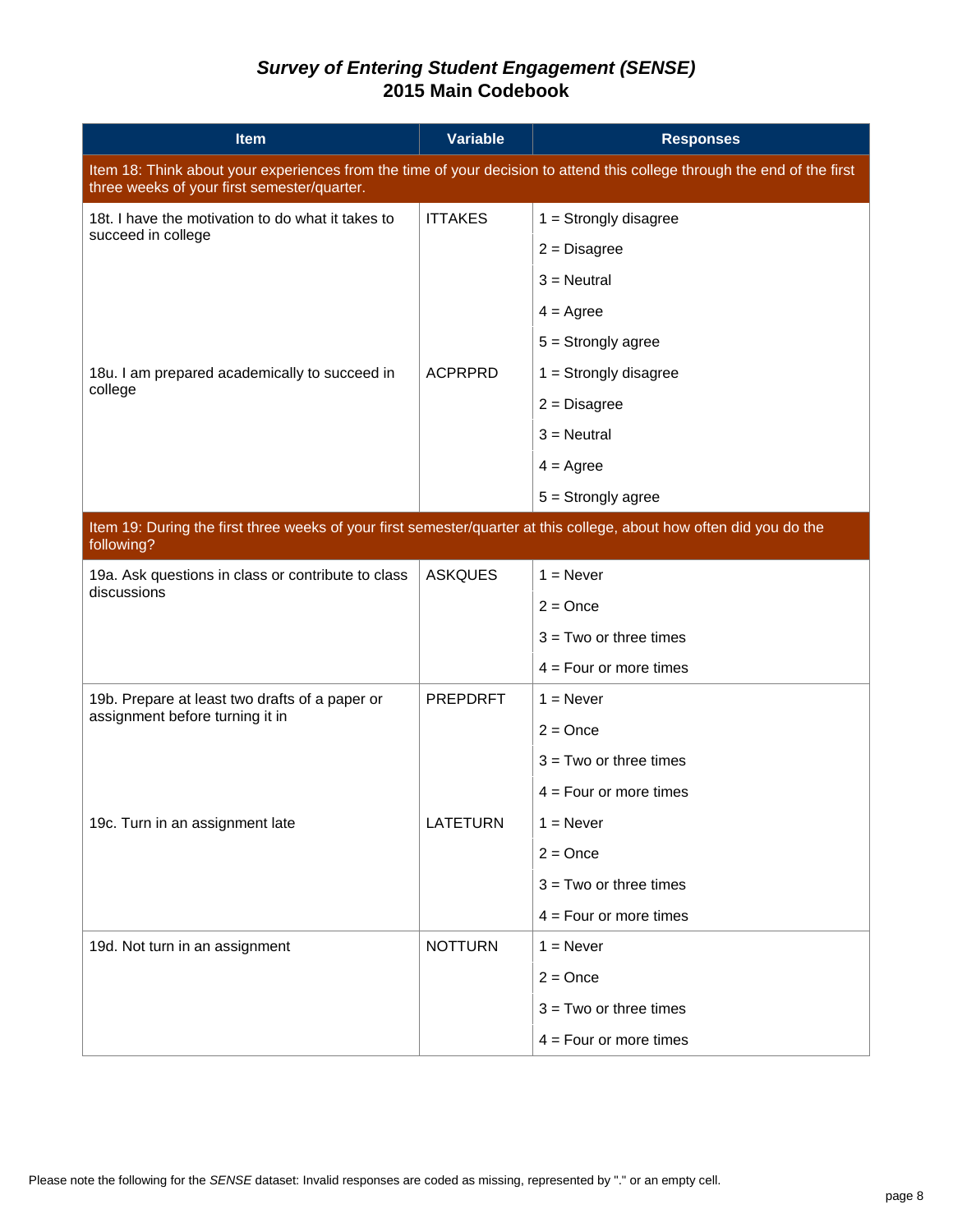| Item                                                                                                                                                                    | <b>Variable</b> | <b>Responses</b>         |  |
|-------------------------------------------------------------------------------------------------------------------------------------------------------------------------|-----------------|--------------------------|--|
| Item 18: Think about your experiences from the time of your decision to attend this college through the end of the first<br>three weeks of your first semester/quarter. |                 |                          |  |
| 18t. I have the motivation to do what it takes to                                                                                                                       | <b>ITTAKES</b>  | $1 =$ Strongly disagree  |  |
| succeed in college                                                                                                                                                      |                 | $2 = Disagree$           |  |
|                                                                                                                                                                         |                 | $3$ = Neutral            |  |
|                                                                                                                                                                         |                 | $4 = \text{Agree}$       |  |
|                                                                                                                                                                         |                 | $5 =$ Strongly agree     |  |
| 18u. I am prepared academically to succeed in                                                                                                                           | <b>ACPRPRD</b>  | $1 =$ Strongly disagree  |  |
| college                                                                                                                                                                 |                 | $2 = Disagree$           |  |
|                                                                                                                                                                         |                 | $3$ = Neutral            |  |
|                                                                                                                                                                         |                 | $4 = \text{Agree}$       |  |
|                                                                                                                                                                         |                 | $5 =$ Strongly agree     |  |
| Item 19: During the first three weeks of your first semester/quarter at this college, about how often did you do the<br>following?                                      |                 |                          |  |
| 19a. Ask questions in class or contribute to class<br>discussions                                                                                                       | <b>ASKQUES</b>  | $1 =$ Never              |  |
|                                                                                                                                                                         |                 | $2 = Once$               |  |
|                                                                                                                                                                         |                 | $3 = Two$ or three times |  |
|                                                                                                                                                                         |                 | $4 = Four$ or more times |  |
| 19b. Prepare at least two drafts of a paper or                                                                                                                          | <b>PREPDRFT</b> | $1 =$ Never              |  |
| assignment before turning it in                                                                                                                                         |                 | $2 = Once$               |  |
|                                                                                                                                                                         |                 | $3 = Two$ or three times |  |
|                                                                                                                                                                         |                 | $4 = Four$ or more times |  |
| 19c. Turn in an assignment late                                                                                                                                         | <b>LATETURN</b> | $1 =$ Never              |  |
|                                                                                                                                                                         |                 | $2 = Once$               |  |
|                                                                                                                                                                         |                 | $3 = Two$ or three times |  |
|                                                                                                                                                                         |                 | $4 = Four$ or more times |  |
| 19d. Not turn in an assignment                                                                                                                                          | <b>NOTTURN</b>  | $1 =$ Never              |  |
|                                                                                                                                                                         |                 | $2 = Once$               |  |
|                                                                                                                                                                         |                 | $3 = Two$ or three times |  |
|                                                                                                                                                                         |                 | $4 = Four$ or more times |  |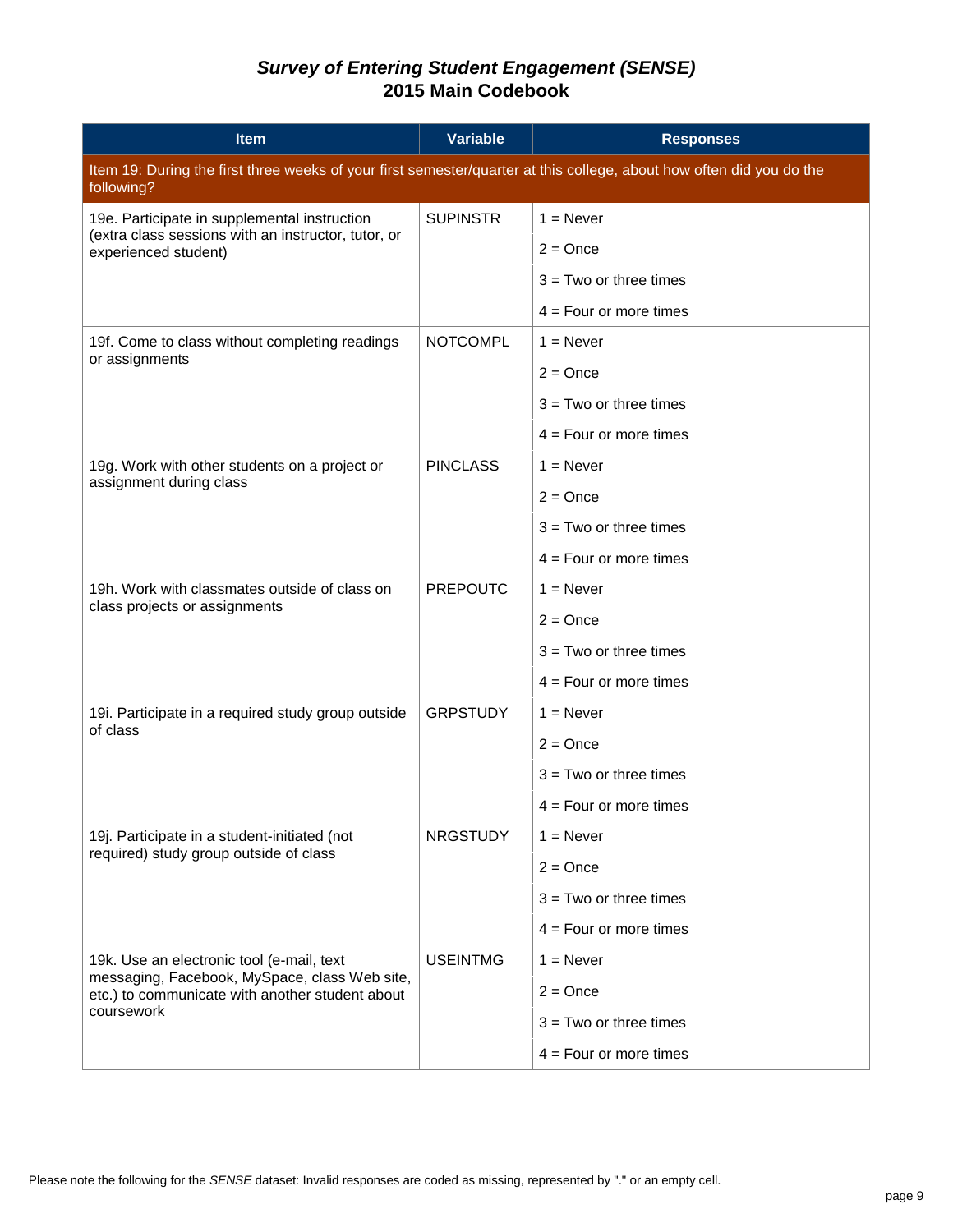| <b>Item</b>                                                                                                                        | <b>Variable</b> | <b>Responses</b>         |
|------------------------------------------------------------------------------------------------------------------------------------|-----------------|--------------------------|
| Item 19: During the first three weeks of your first semester/quarter at this college, about how often did you do the<br>following? |                 |                          |
| 19e. Participate in supplemental instruction                                                                                       | <b>SUPINSTR</b> | $1 =$ Never              |
| (extra class sessions with an instructor, tutor, or<br>experienced student)                                                        |                 | $2 = Once$               |
|                                                                                                                                    |                 | $3 = Two$ or three times |
|                                                                                                                                    |                 | $4 = Four$ or more times |
| 19f. Come to class without completing readings                                                                                     | <b>NOTCOMPL</b> | $1 =$ Never              |
| or assignments                                                                                                                     |                 | $2 =$ Once               |
|                                                                                                                                    |                 | $3 = Two$ or three times |
|                                                                                                                                    |                 | $4 = Four$ or more times |
| 19g. Work with other students on a project or                                                                                      | <b>PINCLASS</b> | $1 =$ Never              |
| assignment during class                                                                                                            |                 | $2 =$ Once               |
|                                                                                                                                    |                 | $3 = Two$ or three times |
|                                                                                                                                    |                 | $4 = Four$ or more times |
| 19h. Work with classmates outside of class on                                                                                      | <b>PREPOUTC</b> | $1 =$ Never              |
| class projects or assignments                                                                                                      |                 | $2 = Once$               |
|                                                                                                                                    |                 | $3 = Two$ or three times |
|                                                                                                                                    |                 | $4 = Four$ or more times |
| 19i. Participate in a required study group outside                                                                                 | <b>GRPSTUDY</b> | $1 =$ Never              |
| of class                                                                                                                           |                 | $2 = Once$               |
|                                                                                                                                    |                 | $3 = Two$ or three times |
|                                                                                                                                    |                 | $4 =$ Four or more times |
| 19j. Participate in a student-initiated (not                                                                                       | <b>NRGSTUDY</b> | $1 =$ Never              |
| required) study group outside of class                                                                                             |                 | $2 = Once$               |
|                                                                                                                                    |                 | $3 = Two$ or three times |
|                                                                                                                                    |                 | $4 = Four$ or more times |
| 19k. Use an electronic tool (e-mail, text                                                                                          | <b>USEINTMG</b> | $1 =$ Never              |
| messaging, Facebook, MySpace, class Web site,<br>etc.) to communicate with another student about<br>coursework                     |                 | $2 =$ Once               |
|                                                                                                                                    |                 | $3 = Two$ or three times |
|                                                                                                                                    |                 | $4 = Four$ or more times |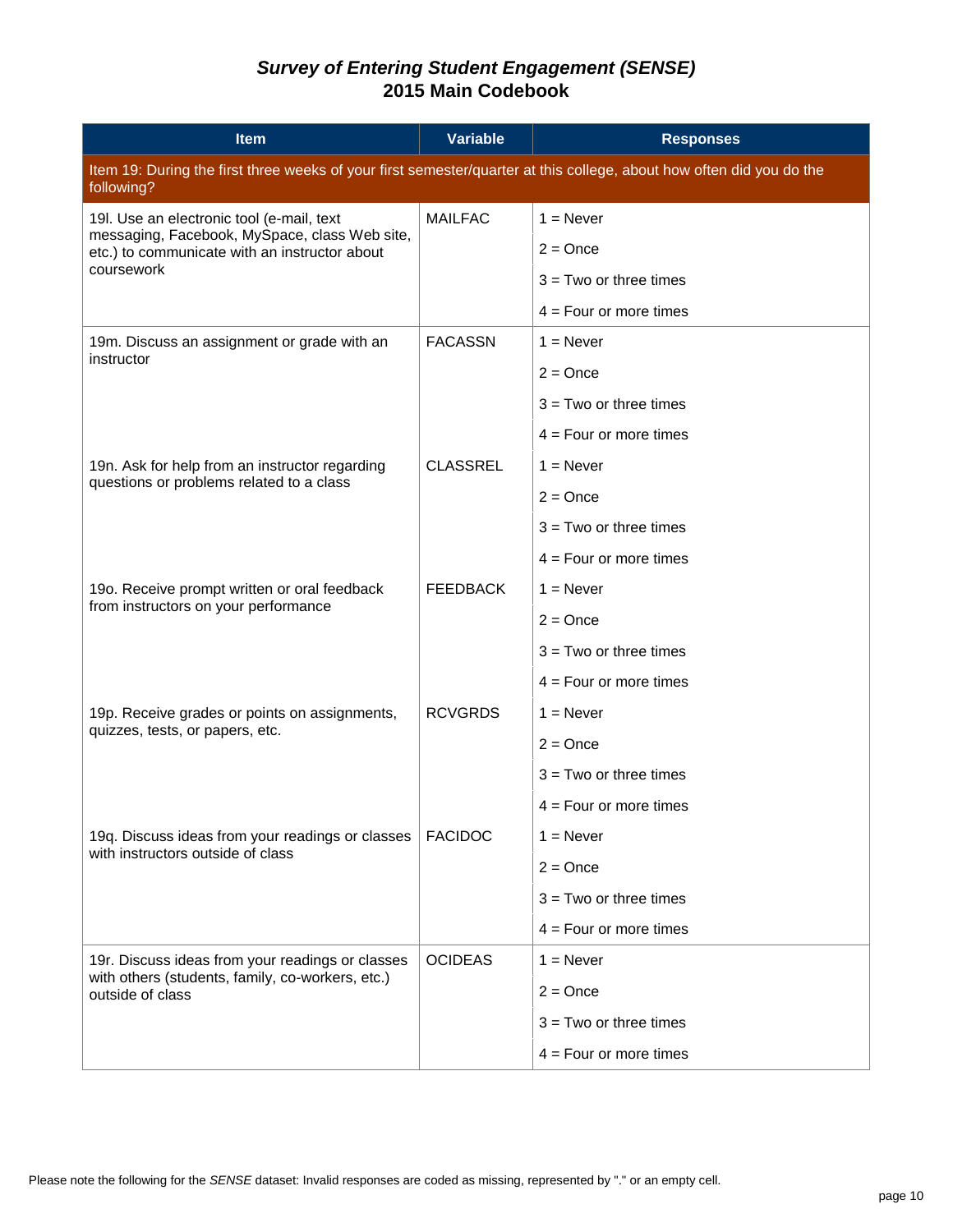| <b>Item</b>                                                                                                                        | <b>Variable</b> | <b>Responses</b>         |  |
|------------------------------------------------------------------------------------------------------------------------------------|-----------------|--------------------------|--|
| Item 19: During the first three weeks of your first semester/quarter at this college, about how often did you do the<br>following? |                 |                          |  |
| 19l. Use an electronic tool (e-mail, text                                                                                          | <b>MAILFAC</b>  | $1 =$ Never              |  |
| messaging, Facebook, MySpace, class Web site,<br>etc.) to communicate with an instructor about                                     |                 | $2 =$ Once               |  |
| coursework                                                                                                                         |                 | $3 = Two$ or three times |  |
|                                                                                                                                    |                 | $4 = Four$ or more times |  |
| 19m. Discuss an assignment or grade with an                                                                                        | <b>FACASSN</b>  | $1 =$ Never              |  |
| instructor                                                                                                                         |                 | $2 =$ Once               |  |
|                                                                                                                                    |                 | $3 = Two$ or three times |  |
|                                                                                                                                    |                 | $4 = Four$ or more times |  |
| 19n. Ask for help from an instructor regarding                                                                                     | <b>CLASSREL</b> | $1 =$ Never              |  |
| questions or problems related to a class                                                                                           |                 | $2 =$ Once               |  |
|                                                                                                                                    |                 | $3 = Two$ or three times |  |
|                                                                                                                                    |                 | $4 =$ Four or more times |  |
| 19o. Receive prompt written or oral feedback                                                                                       | <b>FEEDBACK</b> | $1 =$ Never              |  |
| from instructors on your performance                                                                                               |                 | $2 = Once$               |  |
|                                                                                                                                    |                 | $3 = Two$ or three times |  |
|                                                                                                                                    |                 | $4 = Four$ or more times |  |
| 19p. Receive grades or points on assignments,                                                                                      | <b>RCVGRDS</b>  | $1 =$ Never              |  |
| quizzes, tests, or papers, etc.                                                                                                    |                 | $2 =$ Once               |  |
|                                                                                                                                    |                 | $3 = Two$ or three times |  |
|                                                                                                                                    |                 | $4 =$ Four or more times |  |
| 19q. Discuss ideas from your readings or classes                                                                                   | <b>FACIDOC</b>  | $1 =$ Never              |  |
| with instructors outside of class                                                                                                  |                 | $2 = Once$               |  |
|                                                                                                                                    |                 | $3 = Two$ or three times |  |
|                                                                                                                                    |                 | $4 = Four$ or more times |  |
| 19r. Discuss ideas from your readings or classes                                                                                   | <b>OCIDEAS</b>  | $1 =$ Never              |  |
| with others (students, family, co-workers, etc.)<br>outside of class                                                               |                 | $2 = Once$               |  |
|                                                                                                                                    |                 | $3 = Two$ or three times |  |
|                                                                                                                                    |                 | $4 = Four$ or more times |  |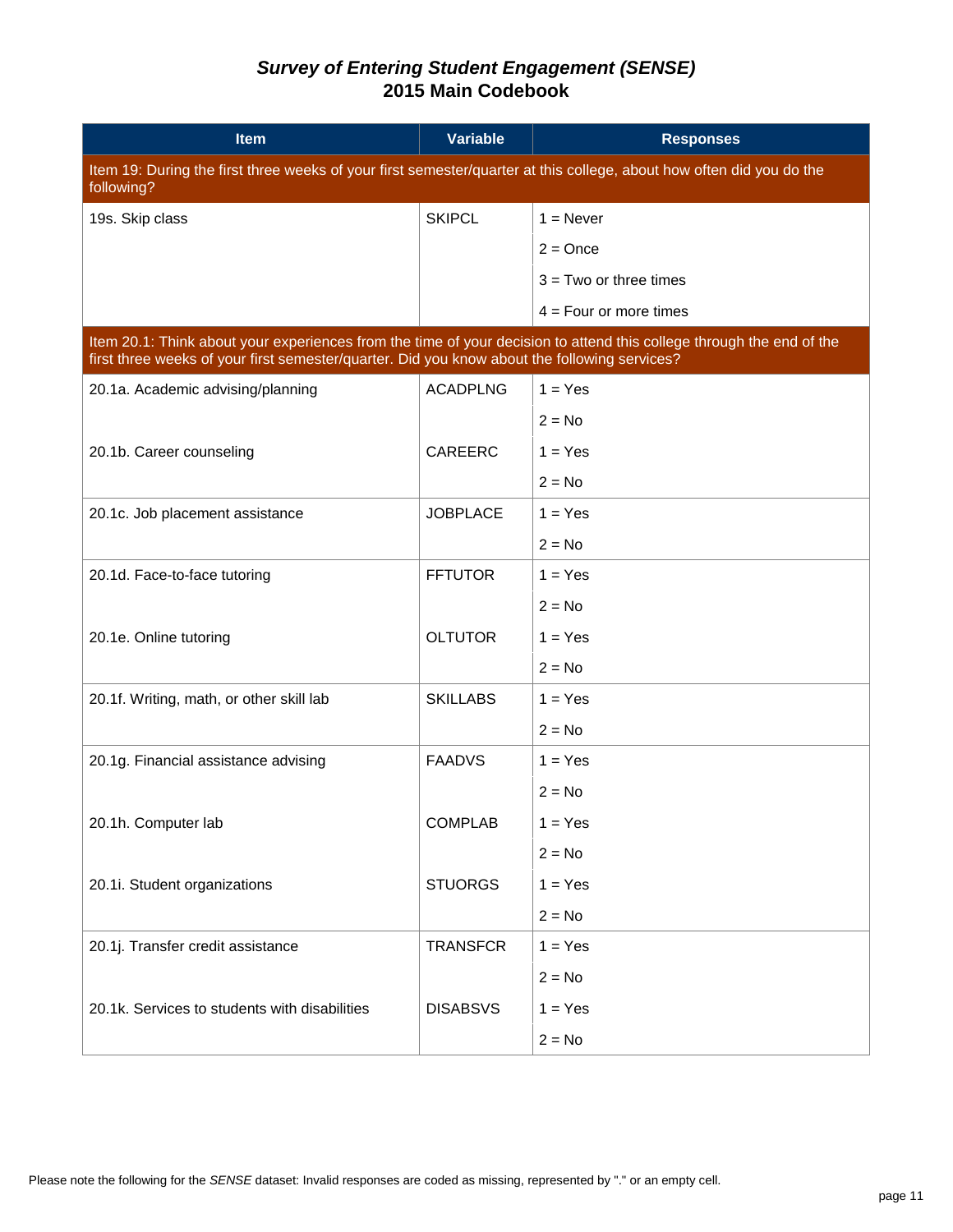| <b>Item</b>                                                                                                                                                                                                          | <b>Variable</b> | <b>Responses</b>         |  |
|----------------------------------------------------------------------------------------------------------------------------------------------------------------------------------------------------------------------|-----------------|--------------------------|--|
| Item 19: During the first three weeks of your first semester/quarter at this college, about how often did you do the<br>following?                                                                                   |                 |                          |  |
| 19s. Skip class                                                                                                                                                                                                      | <b>SKIPCL</b>   | $1 =$ Never              |  |
|                                                                                                                                                                                                                      |                 | $2 =$ Once               |  |
|                                                                                                                                                                                                                      |                 | $3 = Two$ or three times |  |
|                                                                                                                                                                                                                      |                 | $4 =$ Four or more times |  |
| Item 20.1: Think about your experiences from the time of your decision to attend this college through the end of the<br>first three weeks of your first semester/quarter. Did you know about the following services? |                 |                          |  |
| 20.1a. Academic advising/planning                                                                                                                                                                                    | <b>ACADPLNG</b> | $1 = Yes$                |  |
|                                                                                                                                                                                                                      |                 | $2 = No$                 |  |
| 20.1b. Career counseling                                                                                                                                                                                             | CAREERC         | $1 = Yes$                |  |
|                                                                                                                                                                                                                      |                 | $2 = No$                 |  |
| 20.1c. Job placement assistance                                                                                                                                                                                      | <b>JOBPLACE</b> | $1 = Yes$                |  |
|                                                                                                                                                                                                                      |                 | $2 = No$                 |  |
| 20.1d. Face-to-face tutoring                                                                                                                                                                                         | <b>FFTUTOR</b>  | $1 = Yes$                |  |
|                                                                                                                                                                                                                      |                 | $2 = No$                 |  |
| 20.1e. Online tutoring                                                                                                                                                                                               | <b>OLTUTOR</b>  | $1 = Yes$                |  |
|                                                                                                                                                                                                                      |                 | $2 = No$                 |  |
| 20.1f. Writing, math, or other skill lab                                                                                                                                                                             | <b>SKILLABS</b> | $1 = Yes$                |  |
|                                                                                                                                                                                                                      |                 | $2 = No$                 |  |
| 20.1g. Financial assistance advising                                                                                                                                                                                 | <b>FAADVS</b>   | $1 = Yes$                |  |
|                                                                                                                                                                                                                      |                 | $2 = No$                 |  |
| 20.1h. Computer lab                                                                                                                                                                                                  | <b>COMPLAB</b>  | $1 = Yes$                |  |
|                                                                                                                                                                                                                      |                 | $2 = No$                 |  |
| 20.1i. Student organizations                                                                                                                                                                                         | <b>STUORGS</b>  | $1 = Yes$                |  |
|                                                                                                                                                                                                                      |                 | $2 = No$                 |  |
| 20.1j. Transfer credit assistance                                                                                                                                                                                    | <b>TRANSFCR</b> | $1 = Yes$                |  |
|                                                                                                                                                                                                                      |                 | $2 = No$                 |  |
| 20.1k. Services to students with disabilities                                                                                                                                                                        | <b>DISABSVS</b> | $1 = Yes$                |  |
|                                                                                                                                                                                                                      |                 | $2 = No$                 |  |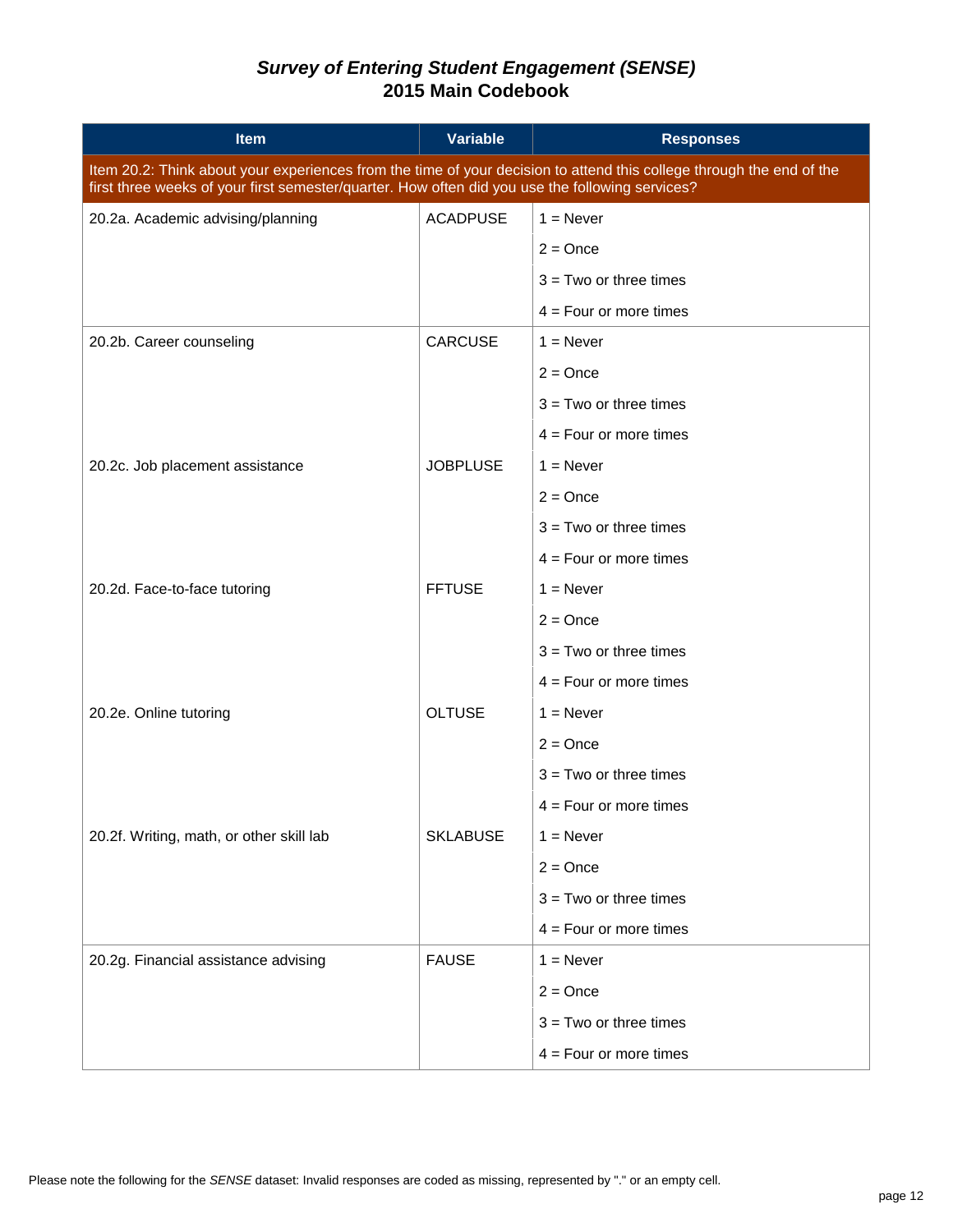| <b>Item</b>                                                                                                                                                                                                             | <b>Variable</b> | <b>Responses</b>         |  |
|-------------------------------------------------------------------------------------------------------------------------------------------------------------------------------------------------------------------------|-----------------|--------------------------|--|
| Item 20.2: Think about your experiences from the time of your decision to attend this college through the end of the<br>first three weeks of your first semester/quarter. How often did you use the following services? |                 |                          |  |
| 20.2a. Academic advising/planning                                                                                                                                                                                       | <b>ACADPUSE</b> | $1 =$ Never              |  |
|                                                                                                                                                                                                                         |                 | $2 =$ Once               |  |
|                                                                                                                                                                                                                         |                 | $3 = Two$ or three times |  |
|                                                                                                                                                                                                                         |                 | $4 = Four$ or more times |  |
| 20.2b. Career counseling                                                                                                                                                                                                | <b>CARCUSE</b>  | $1 =$ Never              |  |
|                                                                                                                                                                                                                         |                 | $2 = Once$               |  |
|                                                                                                                                                                                                                         |                 | $3 = Two$ or three times |  |
|                                                                                                                                                                                                                         |                 | $4 = Four$ or more times |  |
| 20.2c. Job placement assistance                                                                                                                                                                                         | <b>JOBPLUSE</b> | $1 =$ Never              |  |
|                                                                                                                                                                                                                         |                 | $2 = Once$               |  |
|                                                                                                                                                                                                                         |                 | $3 = Two$ or three times |  |
|                                                                                                                                                                                                                         |                 | $4 = Four$ or more times |  |
| 20.2d. Face-to-face tutoring                                                                                                                                                                                            | <b>FFTUSE</b>   | $1 =$ Never              |  |
|                                                                                                                                                                                                                         |                 | $2 = Once$               |  |
|                                                                                                                                                                                                                         |                 | $3 = Two$ or three times |  |
|                                                                                                                                                                                                                         |                 | $4 = Four$ or more times |  |
| 20.2e. Online tutoring                                                                                                                                                                                                  | <b>OLTUSE</b>   | $1 =$ Never              |  |
|                                                                                                                                                                                                                         |                 | $2 = Once$               |  |
|                                                                                                                                                                                                                         |                 | $3 = Two$ or three times |  |
|                                                                                                                                                                                                                         |                 | $4 = Four$ or more times |  |
| 20.2f. Writing, math, or other skill lab                                                                                                                                                                                | <b>SKLABUSE</b> | $1 =$ Never              |  |
|                                                                                                                                                                                                                         |                 | $2 = Once$               |  |
|                                                                                                                                                                                                                         |                 | $3 = Two$ or three times |  |
|                                                                                                                                                                                                                         |                 | $4 = Four$ or more times |  |
| 20.2g. Financial assistance advising                                                                                                                                                                                    | <b>FAUSE</b>    | $1 =$ Never              |  |
|                                                                                                                                                                                                                         |                 | $2 = Once$               |  |
|                                                                                                                                                                                                                         |                 | $3 = Two$ or three times |  |
|                                                                                                                                                                                                                         |                 | $4 = Four$ or more times |  |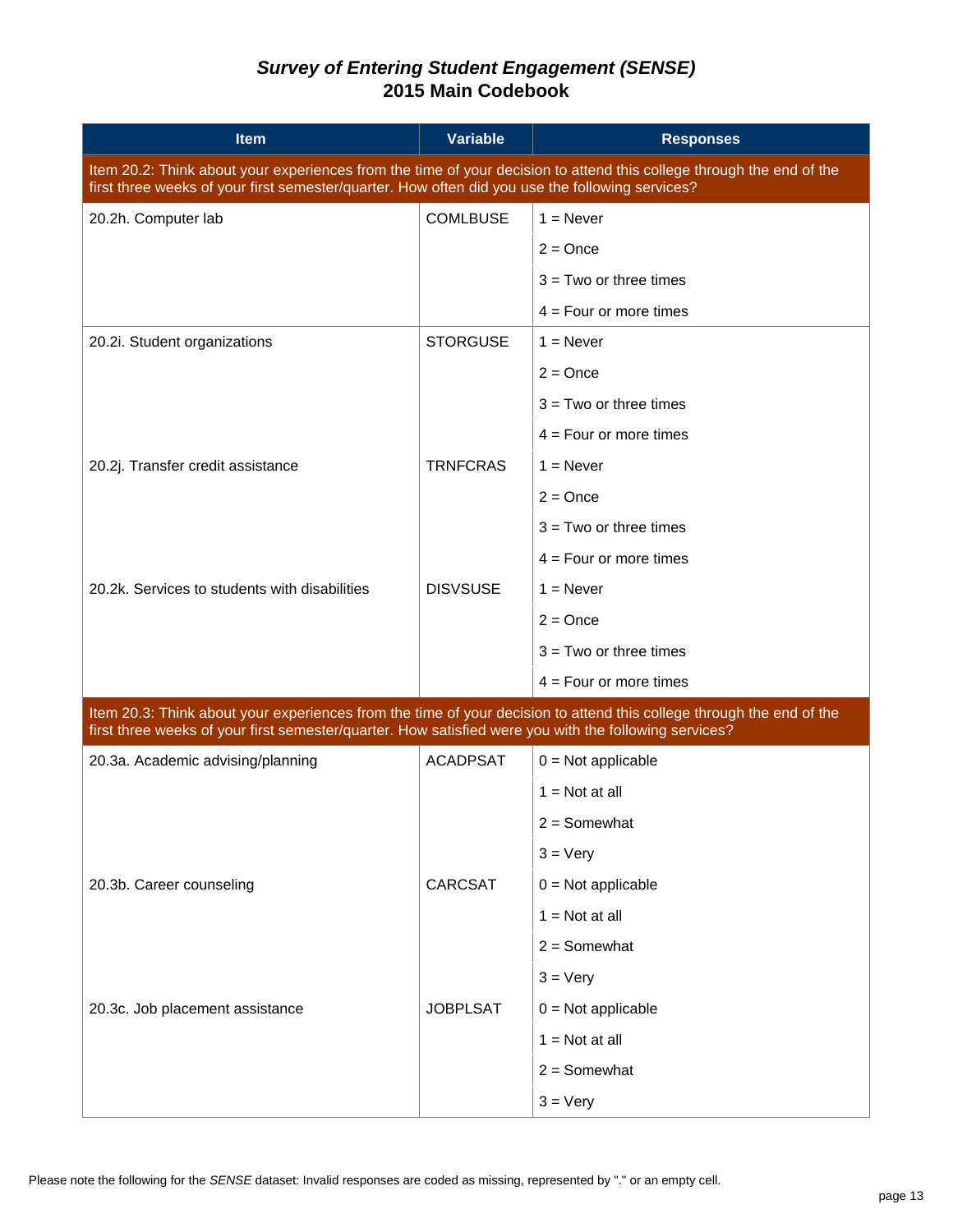| <b>Item</b>                                                                                                                                                                                                                   | <b>Variable</b> | <b>Responses</b>         |  |  |
|-------------------------------------------------------------------------------------------------------------------------------------------------------------------------------------------------------------------------------|-----------------|--------------------------|--|--|
| Item 20.2: Think about your experiences from the time of your decision to attend this college through the end of the<br>first three weeks of your first semester/quarter. How often did you use the following services?       |                 |                          |  |  |
| 20.2h. Computer lab                                                                                                                                                                                                           | <b>COMLBUSE</b> | $1 =$ Never              |  |  |
|                                                                                                                                                                                                                               |                 | $2 =$ Once               |  |  |
|                                                                                                                                                                                                                               |                 | $3 = Two$ or three times |  |  |
|                                                                                                                                                                                                                               |                 | $4 = Four$ or more times |  |  |
| 20.2i. Student organizations                                                                                                                                                                                                  | <b>STORGUSE</b> | $1 =$ Never              |  |  |
|                                                                                                                                                                                                                               |                 | $2 = Once$               |  |  |
|                                                                                                                                                                                                                               |                 | $3 = Two$ or three times |  |  |
|                                                                                                                                                                                                                               |                 | $4 = Four$ or more times |  |  |
| 20.2j. Transfer credit assistance                                                                                                                                                                                             | <b>TRNFCRAS</b> | $1 =$ Never              |  |  |
|                                                                                                                                                                                                                               |                 | $2 = Once$               |  |  |
|                                                                                                                                                                                                                               |                 | $3 = Two$ or three times |  |  |
|                                                                                                                                                                                                                               |                 | $4 = Four$ or more times |  |  |
| 20.2k. Services to students with disabilities                                                                                                                                                                                 | <b>DISVSUSE</b> | $1 =$ Never              |  |  |
|                                                                                                                                                                                                                               |                 | $2 = Once$               |  |  |
|                                                                                                                                                                                                                               |                 | $3 = Two$ or three times |  |  |
|                                                                                                                                                                                                                               |                 | $4 = Four$ or more times |  |  |
| Item 20.3: Think about your experiences from the time of your decision to attend this college through the end of the<br>first three weeks of your first semester/quarter. How satisfied were you with the following services? |                 |                          |  |  |
| 20.3a. Academic advising/planning                                                                                                                                                                                             | <b>ACADPSAT</b> | $0 = Not applicable$     |  |  |
|                                                                                                                                                                                                                               |                 | $1 = Not at all$         |  |  |
|                                                                                                                                                                                                                               |                 | $2 =$ Somewhat           |  |  |
|                                                                                                                                                                                                                               |                 | $3 = \text{Very}$        |  |  |
| 20.3b. Career counseling                                                                                                                                                                                                      | CARCSAT         | $0 = Not applicable$     |  |  |
|                                                                                                                                                                                                                               |                 | $1 = Not at all$         |  |  |
|                                                                                                                                                                                                                               |                 | $2 =$ Somewhat           |  |  |
|                                                                                                                                                                                                                               |                 | $3 = \text{Very}$        |  |  |
| 20.3c. Job placement assistance                                                                                                                                                                                               | <b>JOBPLSAT</b> | $0 = Not applicable$     |  |  |
|                                                                                                                                                                                                                               |                 | $1 = Not at all$         |  |  |
|                                                                                                                                                                                                                               |                 | $2 =$ Somewhat           |  |  |
|                                                                                                                                                                                                                               |                 | $3 = \text{Very}$        |  |  |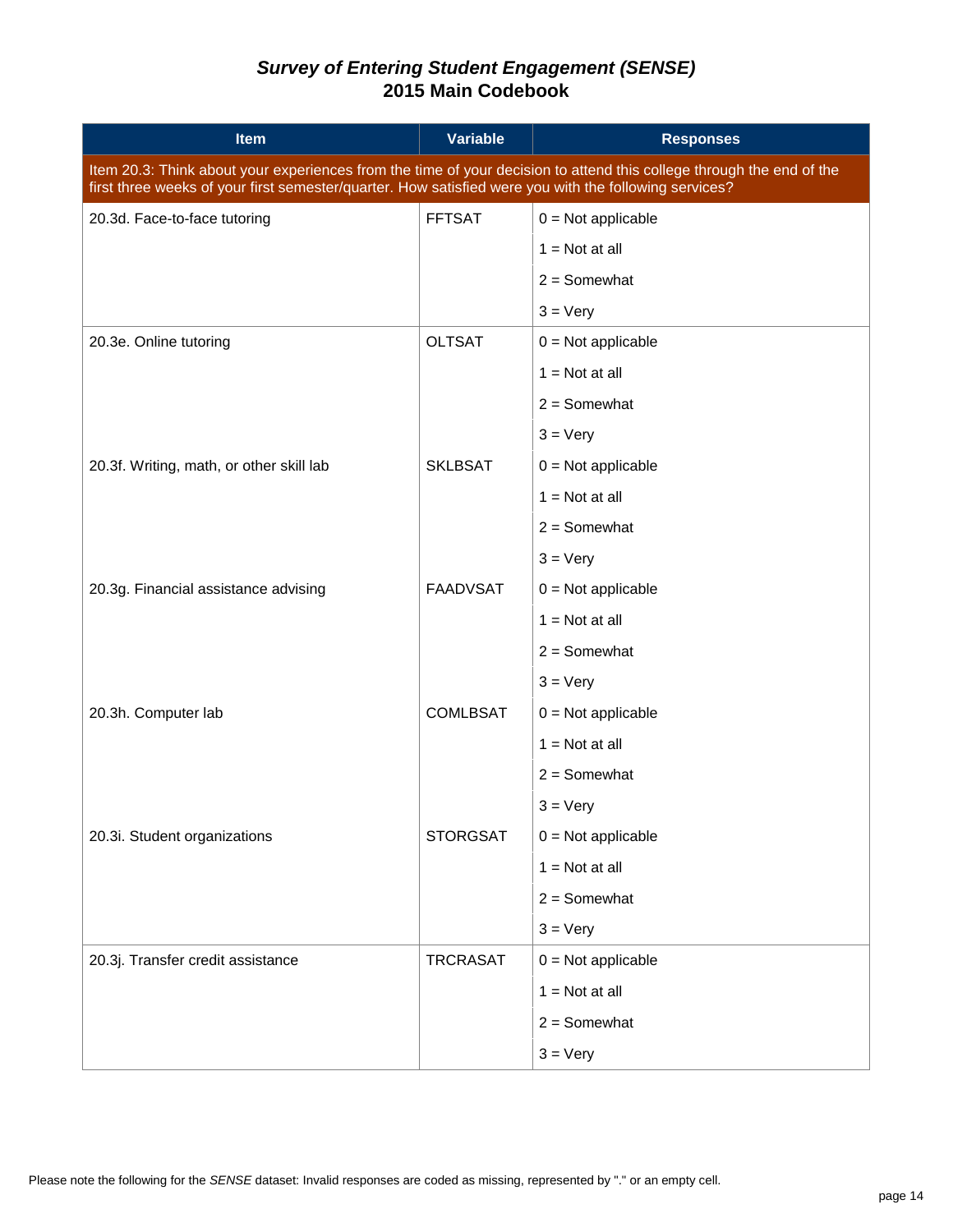| <b>Item</b>                                                                                                                                                                                                                   | <b>Variable</b> | <b>Responses</b>     |  |  |
|-------------------------------------------------------------------------------------------------------------------------------------------------------------------------------------------------------------------------------|-----------------|----------------------|--|--|
| Item 20.3: Think about your experiences from the time of your decision to attend this college through the end of the<br>first three weeks of your first semester/quarter. How satisfied were you with the following services? |                 |                      |  |  |
| 20.3d. Face-to-face tutoring                                                                                                                                                                                                  | <b>FFTSAT</b>   | $0 = Not applicable$ |  |  |
|                                                                                                                                                                                                                               |                 | $1 = Not at all$     |  |  |
|                                                                                                                                                                                                                               |                 | $2 =$ Somewhat       |  |  |
|                                                                                                                                                                                                                               |                 | $3 = \text{Very}$    |  |  |
| 20.3e. Online tutoring                                                                                                                                                                                                        | <b>OLTSAT</b>   | $0 = Not applicable$ |  |  |
|                                                                                                                                                                                                                               |                 | $1 = Not at all$     |  |  |
|                                                                                                                                                                                                                               |                 | $2 =$ Somewhat       |  |  |
|                                                                                                                                                                                                                               |                 | $3 = \text{Very}$    |  |  |
| 20.3f. Writing, math, or other skill lab                                                                                                                                                                                      | <b>SKLBSAT</b>  | $0 = Not applicable$ |  |  |
|                                                                                                                                                                                                                               |                 | $1 = Not at all$     |  |  |
|                                                                                                                                                                                                                               |                 | $2 =$ Somewhat       |  |  |
|                                                                                                                                                                                                                               |                 | $3 = \text{Very}$    |  |  |
| 20.3g. Financial assistance advising                                                                                                                                                                                          | <b>FAADVSAT</b> | $0 = Not applicable$ |  |  |
|                                                                                                                                                                                                                               |                 | $1 = Not at all$     |  |  |
|                                                                                                                                                                                                                               |                 | $2 =$ Somewhat       |  |  |
|                                                                                                                                                                                                                               |                 | $3 = \text{Very}$    |  |  |
| 20.3h. Computer lab                                                                                                                                                                                                           | <b>COMLBSAT</b> | $0 = Not applicable$ |  |  |
|                                                                                                                                                                                                                               |                 | $1 = Not at all$     |  |  |
|                                                                                                                                                                                                                               |                 | $2 =$ Somewhat       |  |  |
|                                                                                                                                                                                                                               |                 | $3 = \text{Very}$    |  |  |
| 20.3i. Student organizations                                                                                                                                                                                                  | <b>STORGSAT</b> | $0 = Not applicable$ |  |  |
|                                                                                                                                                                                                                               |                 | $1 = Not at all$     |  |  |
|                                                                                                                                                                                                                               |                 | $2 =$ Somewhat       |  |  |
|                                                                                                                                                                                                                               |                 | $3 = \text{Very}$    |  |  |
| 20.3j. Transfer credit assistance                                                                                                                                                                                             | <b>TRCRASAT</b> | $0 = Not applicable$ |  |  |
|                                                                                                                                                                                                                               |                 | $1 = Not at all$     |  |  |
|                                                                                                                                                                                                                               |                 | $2 =$ Somewhat       |  |  |
|                                                                                                                                                                                                                               |                 | $3 = \text{Very}$    |  |  |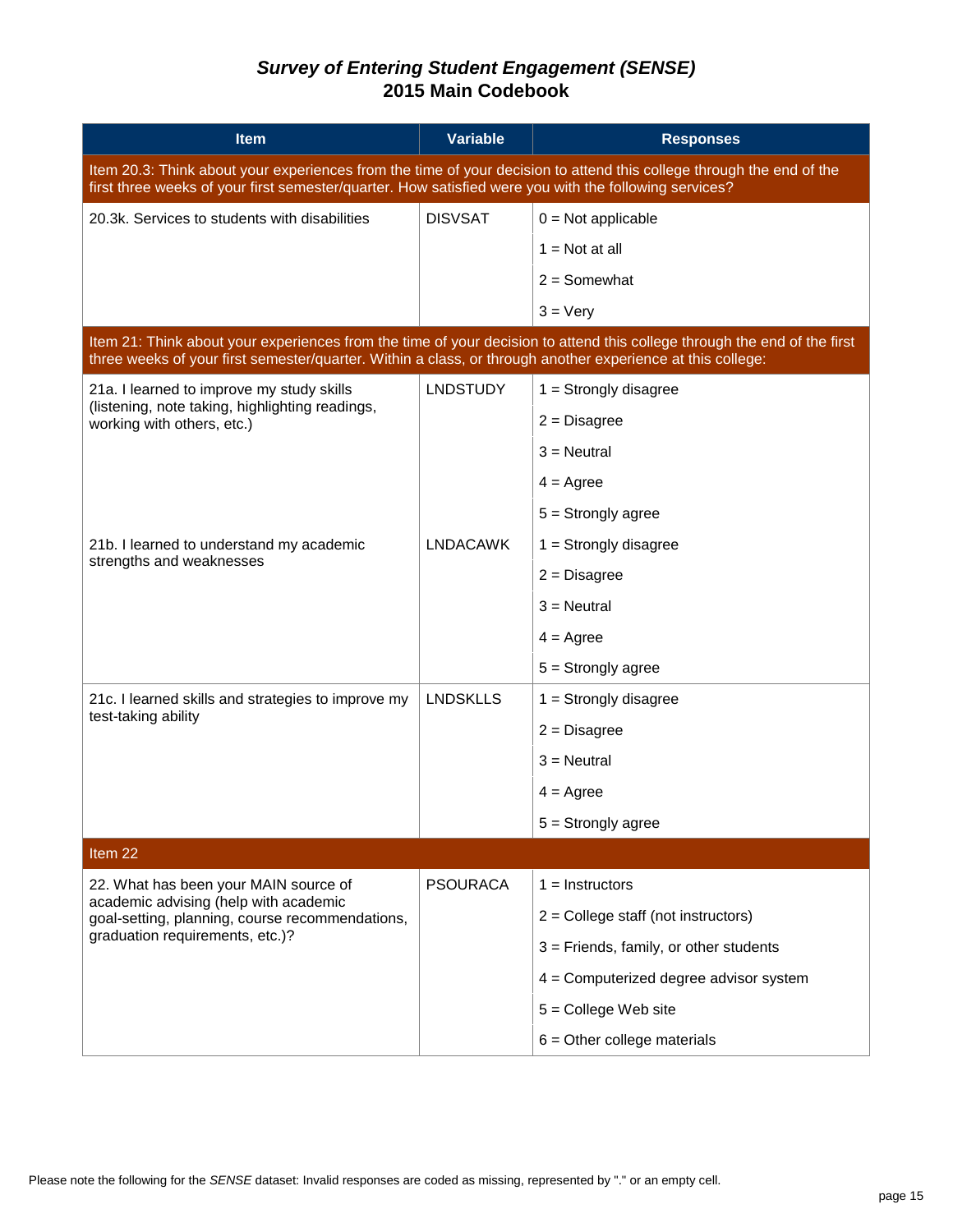| <b>Item</b>                                                                                                                                                                                                                            | <b>Variable</b> | <b>Responses</b>                         |  |  |
|----------------------------------------------------------------------------------------------------------------------------------------------------------------------------------------------------------------------------------------|-----------------|------------------------------------------|--|--|
| Item 20.3: Think about your experiences from the time of your decision to attend this college through the end of the<br>first three weeks of your first semester/quarter. How satisfied were you with the following services?          |                 |                                          |  |  |
| 20.3k. Services to students with disabilities                                                                                                                                                                                          | <b>DISVSAT</b>  | $0 = Not applicable$                     |  |  |
|                                                                                                                                                                                                                                        |                 | $1 = Not at all$                         |  |  |
|                                                                                                                                                                                                                                        |                 | $2 =$ Somewhat                           |  |  |
|                                                                                                                                                                                                                                        |                 | $3 = \text{Very}$                        |  |  |
| Item 21: Think about your experiences from the time of your decision to attend this college through the end of the first<br>three weeks of your first semester/quarter. Within a class, or through another experience at this college: |                 |                                          |  |  |
| 21a. I learned to improve my study skills                                                                                                                                                                                              | <b>LNDSTUDY</b> | $1 =$ Strongly disagree                  |  |  |
| (listening, note taking, highlighting readings,<br>working with others, etc.)                                                                                                                                                          |                 | $2 = Disagree$                           |  |  |
|                                                                                                                                                                                                                                        |                 | $3$ = Neutral                            |  |  |
|                                                                                                                                                                                                                                        |                 | $4 = \text{Agree}$                       |  |  |
|                                                                                                                                                                                                                                        |                 | $5 =$ Strongly agree                     |  |  |
| 21b. I learned to understand my academic                                                                                                                                                                                               | <b>LNDACAWK</b> | $1 =$ Strongly disagree                  |  |  |
| strengths and weaknesses                                                                                                                                                                                                               |                 | $2 = Disagree$                           |  |  |
|                                                                                                                                                                                                                                        |                 | $3$ = Neutral                            |  |  |
|                                                                                                                                                                                                                                        |                 | $4 = \text{Agree}$                       |  |  |
|                                                                                                                                                                                                                                        |                 | $5 =$ Strongly agree                     |  |  |
| 21c. I learned skills and strategies to improve my                                                                                                                                                                                     | <b>LNDSKLLS</b> | $1 =$ Strongly disagree                  |  |  |
| test-taking ability                                                                                                                                                                                                                    |                 | $2 = Disagree$                           |  |  |
|                                                                                                                                                                                                                                        |                 | $3$ = Neutral                            |  |  |
|                                                                                                                                                                                                                                        |                 | $4 = \text{Agree}$                       |  |  |
|                                                                                                                                                                                                                                        |                 | $5 =$ Strongly agree                     |  |  |
| Item 22                                                                                                                                                                                                                                |                 |                                          |  |  |
| 22. What has been your MAIN source of                                                                                                                                                                                                  | <b>PSOURACA</b> | $1 =$ Instructors                        |  |  |
| academic advising (help with academic<br>goal-setting, planning, course recommendations,<br>graduation requirements, etc.)?                                                                                                            |                 | $2 =$ College staff (not instructors)    |  |  |
|                                                                                                                                                                                                                                        |                 | $3$ = Friends, family, or other students |  |  |
|                                                                                                                                                                                                                                        |                 | 4 = Computerized degree advisor system   |  |  |
|                                                                                                                                                                                                                                        |                 | $5 =$ College Web site                   |  |  |
|                                                                                                                                                                                                                                        |                 | $6$ = Other college materials            |  |  |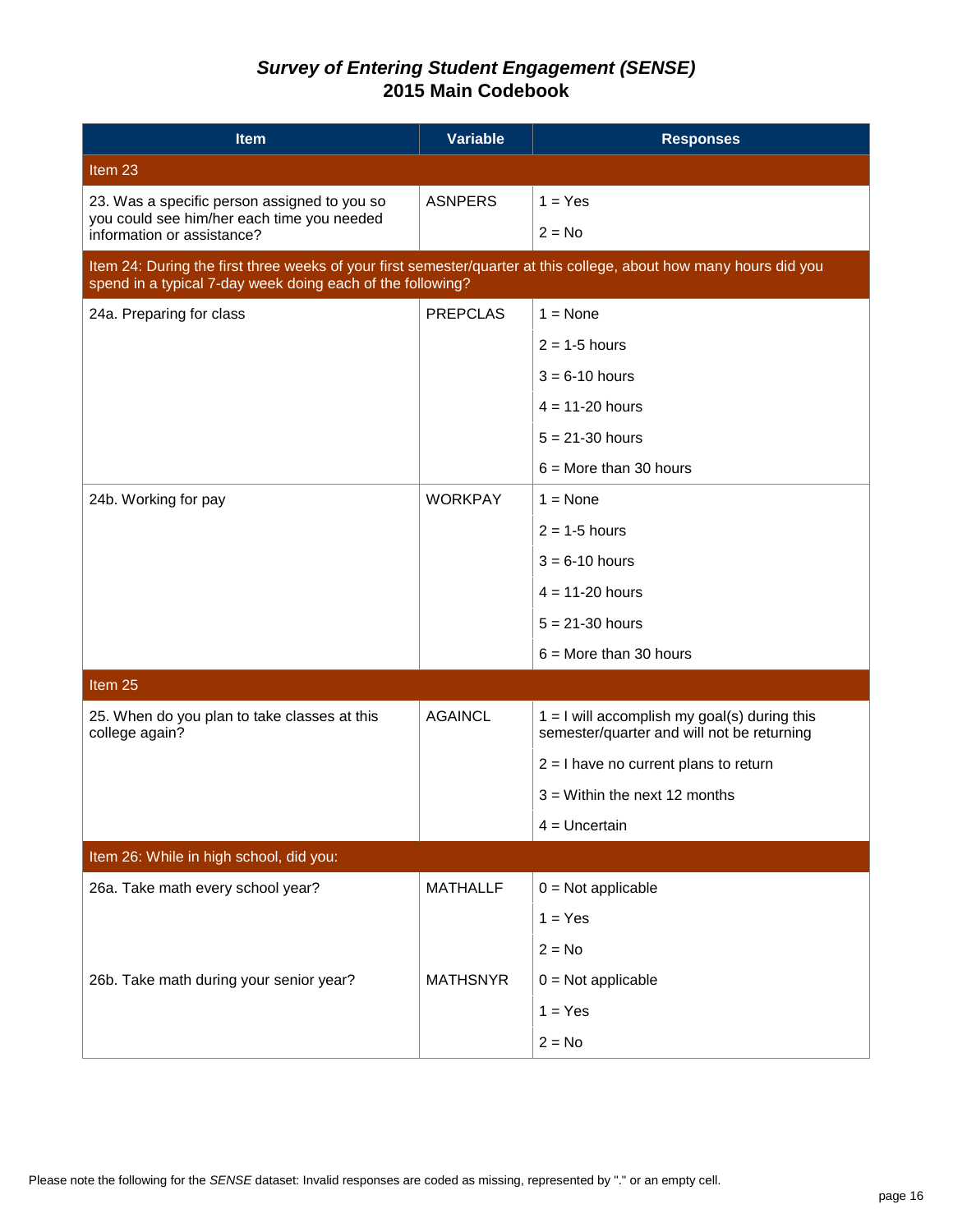| <b>Item</b>                                                                                                                                                                      | <b>Variable</b> | <b>Responses</b>                                                                             |  |  |
|----------------------------------------------------------------------------------------------------------------------------------------------------------------------------------|-----------------|----------------------------------------------------------------------------------------------|--|--|
| Item 23                                                                                                                                                                          |                 |                                                                                              |  |  |
| 23. Was a specific person assigned to you so                                                                                                                                     | <b>ASNPERS</b>  | $1 = Yes$                                                                                    |  |  |
| you could see him/her each time you needed<br>information or assistance?                                                                                                         |                 | $2 = No$                                                                                     |  |  |
| Item 24: During the first three weeks of your first semester/quarter at this college, about how many hours did you<br>spend in a typical 7-day week doing each of the following? |                 |                                                                                              |  |  |
| 24a. Preparing for class                                                                                                                                                         | <b>PREPCLAS</b> | $1 = \text{None}$                                                                            |  |  |
|                                                                                                                                                                                  |                 | $2 = 1-5$ hours                                                                              |  |  |
|                                                                                                                                                                                  |                 | $3 = 6 - 10$ hours                                                                           |  |  |
|                                                                                                                                                                                  |                 | $4 = 11 - 20$ hours                                                                          |  |  |
|                                                                                                                                                                                  |                 | $5 = 21 - 30$ hours                                                                          |  |  |
|                                                                                                                                                                                  |                 | $6 =$ More than 30 hours                                                                     |  |  |
| 24b. Working for pay                                                                                                                                                             | <b>WORKPAY</b>  | $1 = None$                                                                                   |  |  |
|                                                                                                                                                                                  |                 | $2 = 1 - 5$ hours                                                                            |  |  |
|                                                                                                                                                                                  |                 | $3 = 6 - 10$ hours                                                                           |  |  |
|                                                                                                                                                                                  |                 | $4 = 11 - 20$ hours                                                                          |  |  |
|                                                                                                                                                                                  |                 | $5 = 21 - 30$ hours                                                                          |  |  |
|                                                                                                                                                                                  |                 | $6 =$ More than 30 hours                                                                     |  |  |
| Item 25                                                                                                                                                                          |                 |                                                                                              |  |  |
| 25. When do you plan to take classes at this<br>college again?                                                                                                                   | <b>AGAINCL</b>  | $1 = I$ will accomplish my goal(s) during this<br>semester/quarter and will not be returning |  |  |
|                                                                                                                                                                                  |                 | $2 = I$ have no current plans to return                                                      |  |  |
|                                                                                                                                                                                  |                 | $3$ = Within the next 12 months                                                              |  |  |
|                                                                                                                                                                                  |                 | $4 =$ Uncertain                                                                              |  |  |
| Item 26: While in high school, did you:                                                                                                                                          |                 |                                                                                              |  |  |
| 26a. Take math every school year?                                                                                                                                                | <b>MATHALLF</b> | $0 = Not applicable$                                                                         |  |  |
|                                                                                                                                                                                  |                 | $1 = Yes$                                                                                    |  |  |
|                                                                                                                                                                                  |                 | $2 = No$                                                                                     |  |  |
| 26b. Take math during your senior year?                                                                                                                                          | <b>MATHSNYR</b> | $0 = Not applicable$                                                                         |  |  |
|                                                                                                                                                                                  |                 | $1 = Yes$                                                                                    |  |  |
|                                                                                                                                                                                  |                 | $2 = No$                                                                                     |  |  |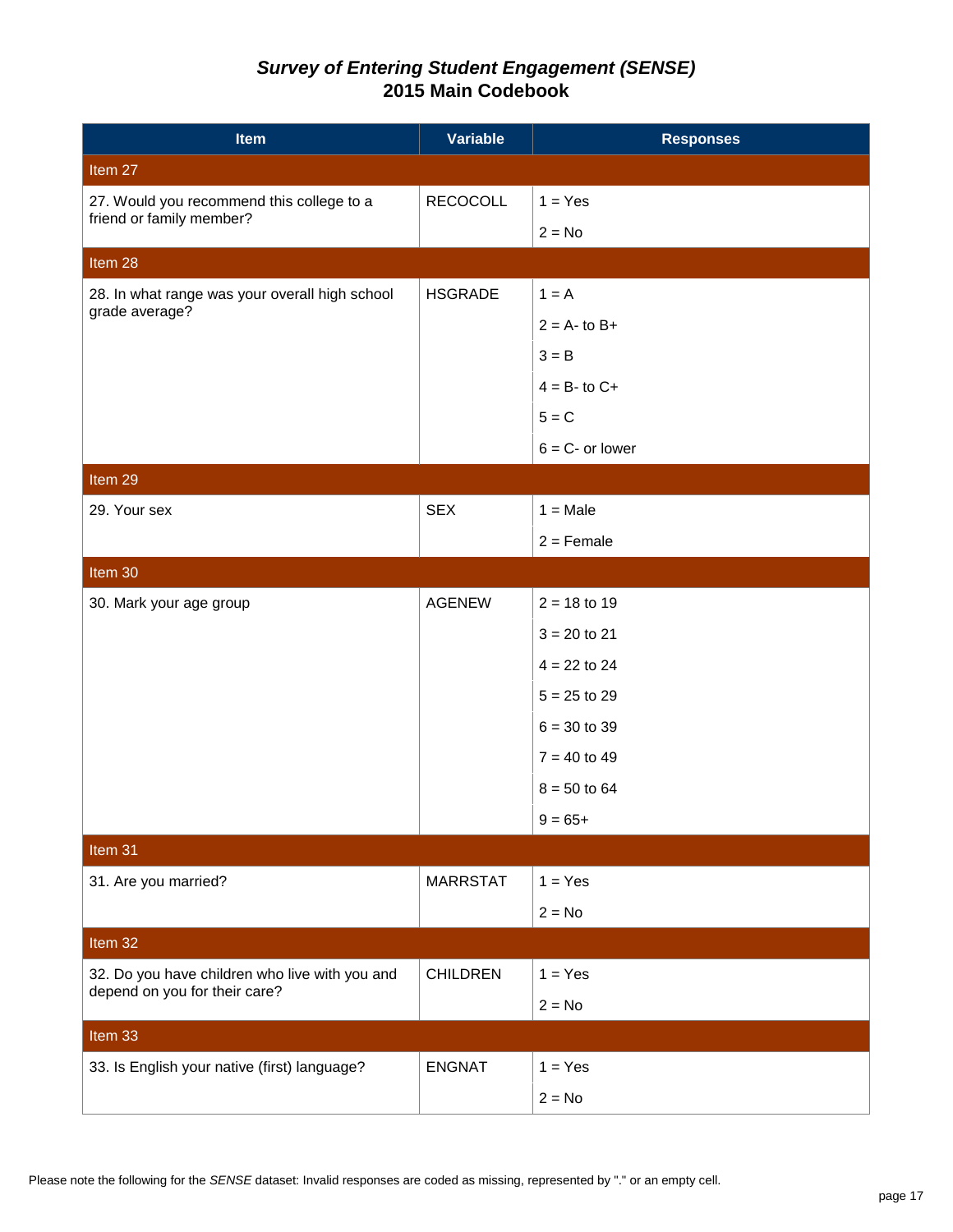| <b>Item</b>                                                           | <b>Variable</b> | <b>Responses</b>   |
|-----------------------------------------------------------------------|-----------------|--------------------|
| Item 27                                                               |                 |                    |
| 27. Would you recommend this college to a<br>friend or family member? | <b>RECOCOLL</b> | $1 = Yes$          |
|                                                                       |                 | $2 = No$           |
| Item 28                                                               |                 |                    |
| 28. In what range was your overall high school                        | <b>HSGRADE</b>  | $1 = A$            |
| grade average?                                                        |                 | $2 = A - to B +$   |
|                                                                       |                 | $3 = B$            |
|                                                                       |                 | $4 = B - to C +$   |
|                                                                       |                 | $5 = C$            |
|                                                                       |                 | $6 = C -$ or lower |
| Item 29                                                               |                 |                    |
| 29. Your sex                                                          | <b>SEX</b>      | $1 = Male$         |
|                                                                       |                 | $2 =$ Female       |
| Item 30                                                               |                 |                    |
| 30. Mark your age group                                               | <b>AGENEW</b>   | $2 = 18$ to 19     |
|                                                                       |                 | $3 = 20$ to 21     |
|                                                                       |                 | $4 = 22$ to 24     |
|                                                                       |                 | $5 = 25$ to 29     |
|                                                                       |                 | $6 = 30$ to 39     |
|                                                                       |                 | $7 = 40$ to 49     |
|                                                                       |                 | $8 = 50$ to 64     |
|                                                                       |                 | $9 = 65+$          |
| Item 31                                                               |                 |                    |
| 31. Are you married?                                                  | <b>MARRSTAT</b> | $1 = Yes$          |
|                                                                       |                 | $2 = No$           |
| Item 32                                                               |                 |                    |
| 32. Do you have children who live with you and                        | <b>CHILDREN</b> | $1 = Yes$          |
| depend on you for their care?                                         |                 | $2 = No$           |
| Item 33                                                               |                 |                    |
| 33. Is English your native (first) language?                          | <b>ENGNAT</b>   | $1 = Yes$          |
|                                                                       |                 | $2 = No$           |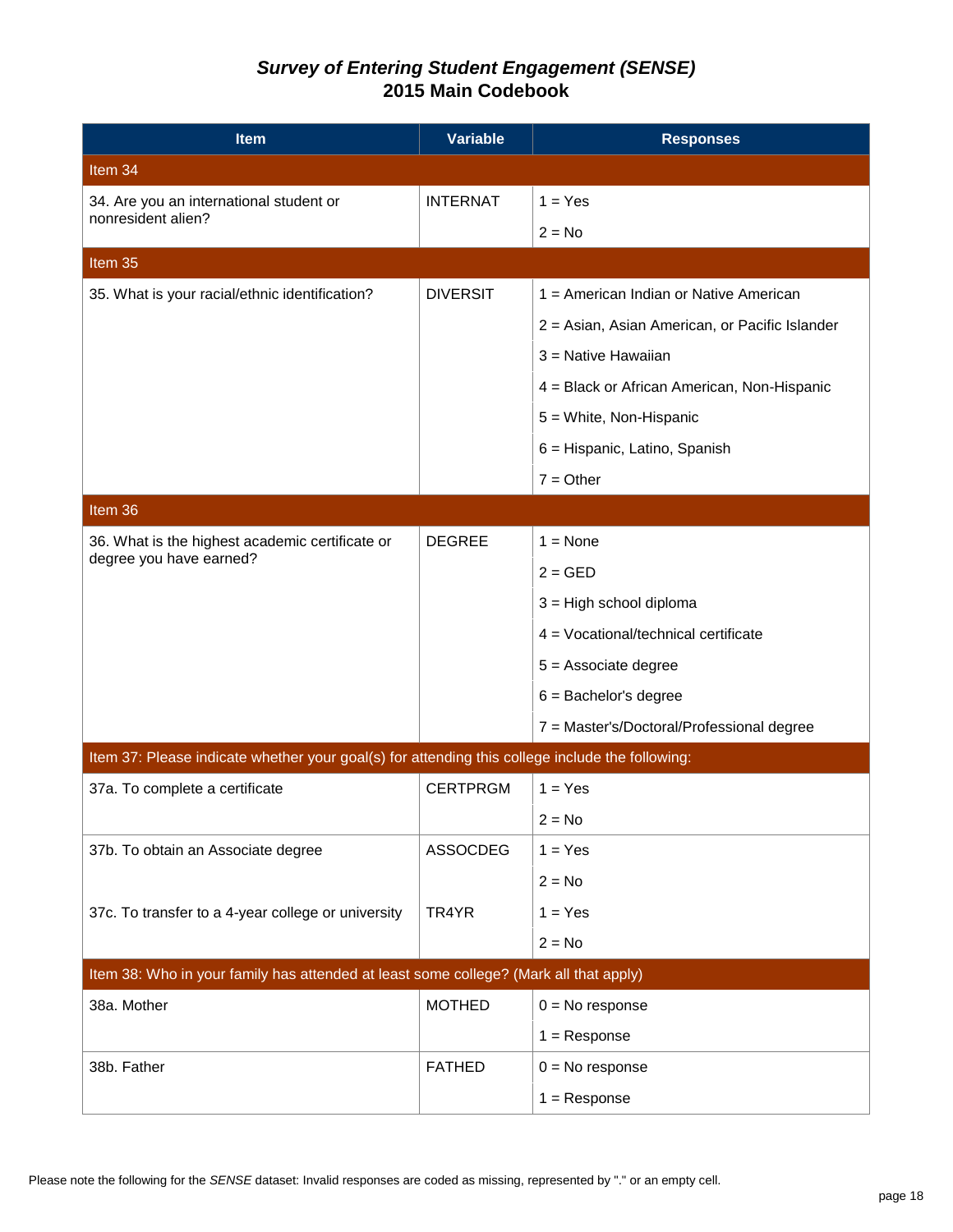| <b>Item</b>                                                                                     | <b>Variable</b> | <b>Responses</b>                               |  |  |
|-------------------------------------------------------------------------------------------------|-----------------|------------------------------------------------|--|--|
| Item 34                                                                                         |                 |                                                |  |  |
| 34. Are you an international student or<br>nonresident alien?                                   | <b>INTERNAT</b> | $1 = Yes$                                      |  |  |
|                                                                                                 |                 | $2 = No$                                       |  |  |
| Item 35                                                                                         |                 |                                                |  |  |
| 35. What is your racial/ethnic identification?                                                  | <b>DIVERSIT</b> | 1 = American Indian or Native American         |  |  |
|                                                                                                 |                 | 2 = Asian, Asian American, or Pacific Islander |  |  |
|                                                                                                 |                 | 3 = Native Hawaiian                            |  |  |
|                                                                                                 |                 | 4 = Black or African American, Non-Hispanic    |  |  |
|                                                                                                 |                 | 5 = White, Non-Hispanic                        |  |  |
|                                                                                                 |                 | 6 = Hispanic, Latino, Spanish                  |  |  |
|                                                                                                 |                 | $7 = Other$                                    |  |  |
| Item 36                                                                                         |                 |                                                |  |  |
| 36. What is the highest academic certificate or                                                 | <b>DEGREE</b>   | $1 = None$                                     |  |  |
| degree you have earned?                                                                         |                 | $2 = GED$                                      |  |  |
|                                                                                                 |                 | 3 = High school diploma                        |  |  |
|                                                                                                 |                 | 4 = Vocational/technical certificate           |  |  |
|                                                                                                 |                 | $5 =$ Associate degree                         |  |  |
|                                                                                                 |                 | $6 =$ Bachelor's degree                        |  |  |
|                                                                                                 |                 | 7 = Master's/Doctoral/Professional degree      |  |  |
| Item 37: Please indicate whether your goal(s) for attending this college include the following: |                 |                                                |  |  |
| 37a. To complete a certificate                                                                  | <b>CERTPRGM</b> | $1 = Yes$                                      |  |  |
|                                                                                                 |                 | $2 = No$                                       |  |  |
| 37b. To obtain an Associate degree                                                              | <b>ASSOCDEG</b> | $1 = Yes$                                      |  |  |
|                                                                                                 |                 | $2 = No$                                       |  |  |
| 37c. To transfer to a 4-year college or university                                              | TR4YR           | $1 = Yes$                                      |  |  |
|                                                                                                 |                 | $2 = No$                                       |  |  |
| Item 38: Who in your family has attended at least some college? (Mark all that apply)           |                 |                                                |  |  |
| 38a. Mother                                                                                     | <b>MOTHED</b>   | $0 = No$ response                              |  |  |
|                                                                                                 |                 | $1 =$ Response                                 |  |  |
| 38b. Father                                                                                     | <b>FATHED</b>   | $0 = No$ response                              |  |  |
|                                                                                                 |                 | $1 =$ Response                                 |  |  |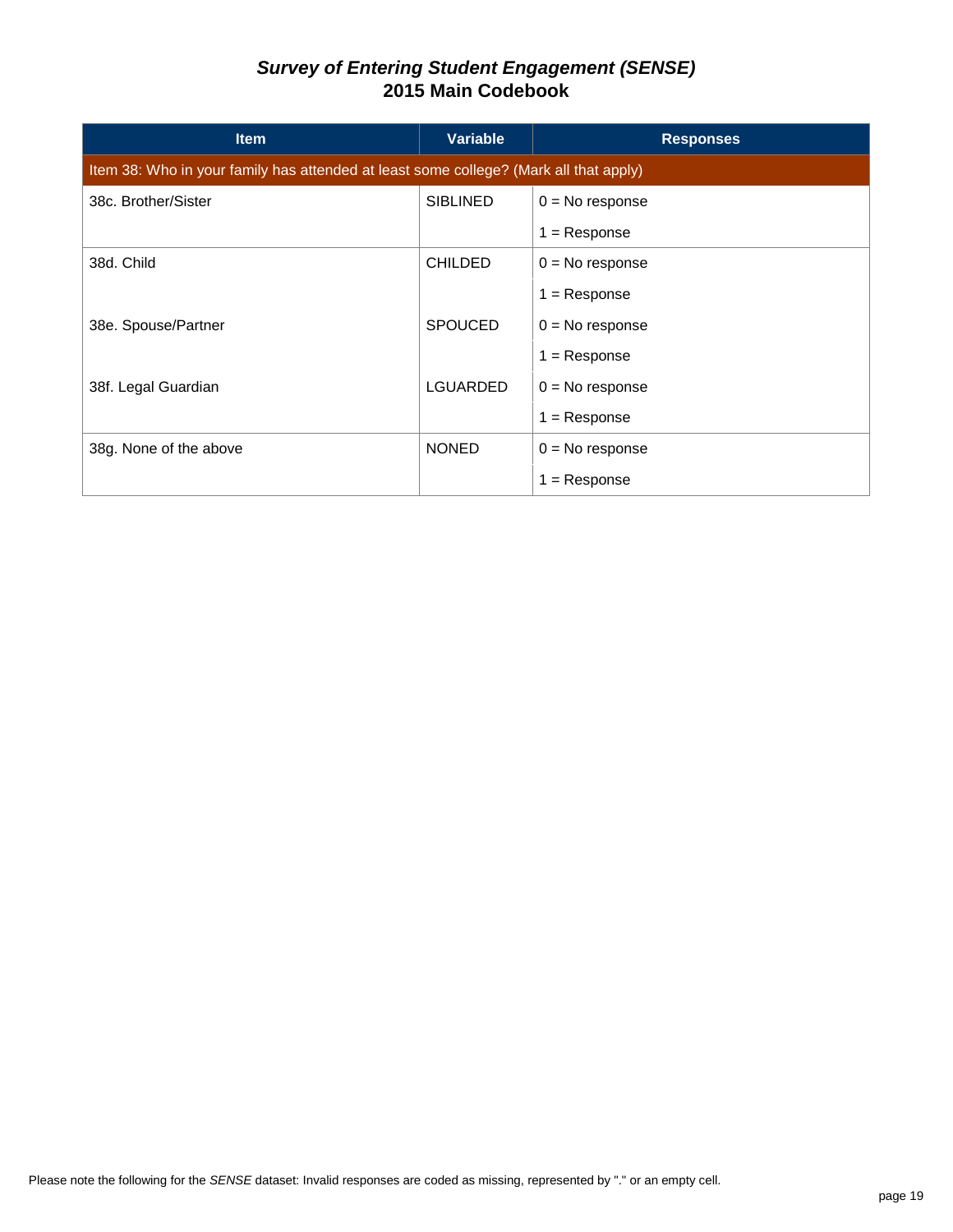| <b>Item</b>                                                                           | Variable        | <b>Responses</b>  |  |
|---------------------------------------------------------------------------------------|-----------------|-------------------|--|
| Item 38: Who in your family has attended at least some college? (Mark all that apply) |                 |                   |  |
| 38c. Brother/Sister                                                                   | <b>SIBLINED</b> | $0 = No$ response |  |
|                                                                                       |                 | $1 =$ Response    |  |
| 38d. Child                                                                            | <b>CHILDED</b>  | $0 = No$ response |  |
|                                                                                       |                 | $1 =$ Response    |  |
| 38e. Spouse/Partner                                                                   | <b>SPOUCED</b>  | $0 = No$ response |  |
|                                                                                       |                 | $1 =$ Response    |  |
| 38f. Legal Guardian                                                                   | <b>LGUARDED</b> | $0 = No$ response |  |
|                                                                                       |                 | $1 =$ Response    |  |
| 38g. None of the above                                                                | <b>NONED</b>    | $0 = No$ response |  |
|                                                                                       |                 | = Response        |  |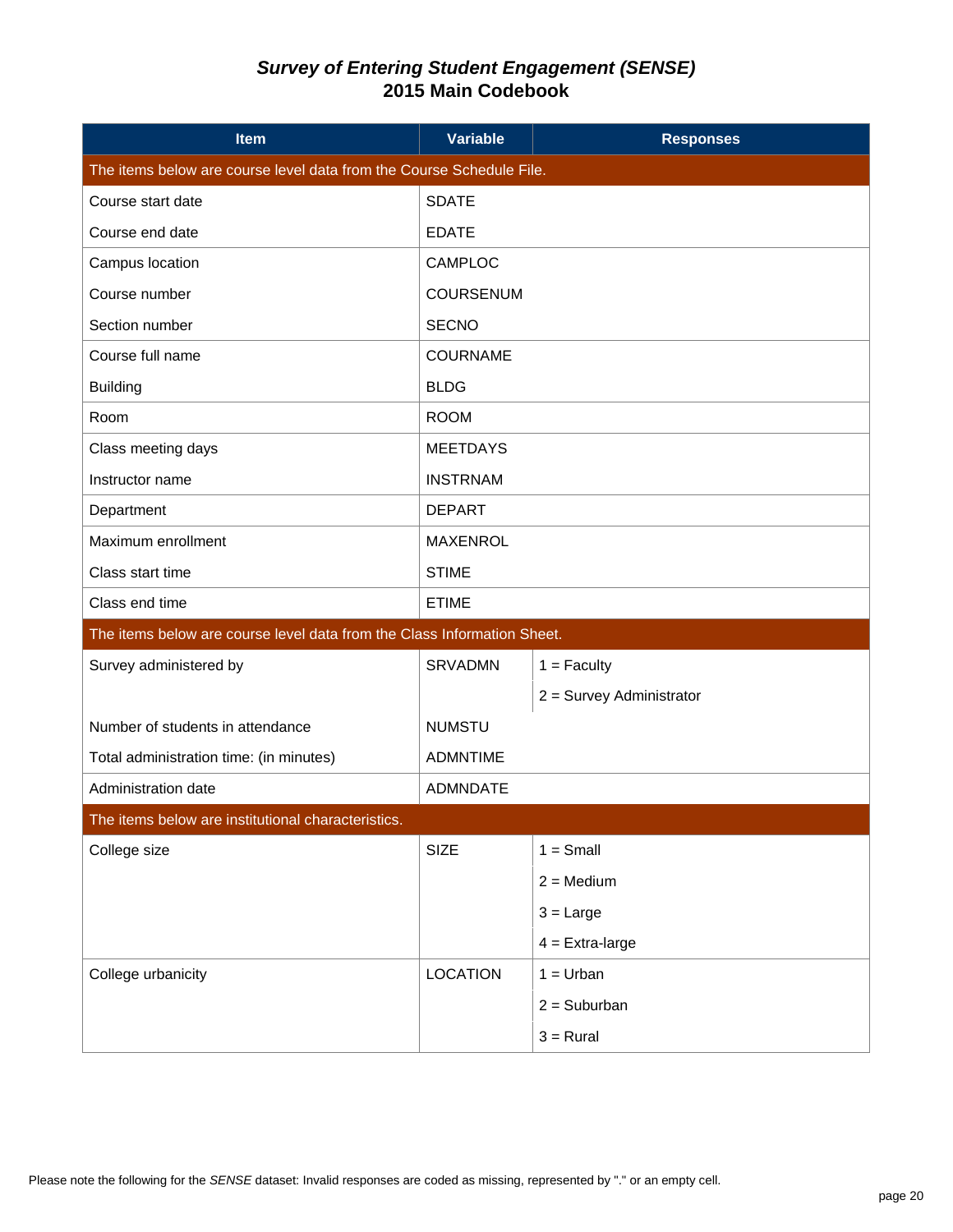| <b>Item</b>                                                             | <b>Variable</b>  | <b>Responses</b>         |  |  |
|-------------------------------------------------------------------------|------------------|--------------------------|--|--|
| The items below are course level data from the Course Schedule File.    |                  |                          |  |  |
| Course start date                                                       | <b>SDATE</b>     |                          |  |  |
| Course end date                                                         | <b>EDATE</b>     |                          |  |  |
| Campus location                                                         | CAMPLOC          |                          |  |  |
| Course number                                                           | <b>COURSENUM</b> |                          |  |  |
| Section number                                                          | <b>SECNO</b>     |                          |  |  |
| Course full name                                                        | <b>COURNAME</b>  |                          |  |  |
| <b>Building</b>                                                         | <b>BLDG</b>      |                          |  |  |
| Room                                                                    | <b>ROOM</b>      |                          |  |  |
| Class meeting days                                                      | <b>MEETDAYS</b>  |                          |  |  |
| Instructor name                                                         | <b>INSTRNAM</b>  |                          |  |  |
| Department                                                              | <b>DEPART</b>    |                          |  |  |
| Maximum enrollment                                                      | <b>MAXENROL</b>  |                          |  |  |
| Class start time                                                        | <b>STIME</b>     |                          |  |  |
| Class end time                                                          | <b>ETIME</b>     |                          |  |  |
| The items below are course level data from the Class Information Sheet. |                  |                          |  |  |
| Survey administered by                                                  | <b>SRVADMN</b>   | $1 =$ Faculty            |  |  |
|                                                                         |                  | 2 = Survey Administrator |  |  |
| Number of students in attendance                                        | <b>NUMSTU</b>    |                          |  |  |
| Total administration time: (in minutes)                                 | <b>ADMNTIME</b>  |                          |  |  |
| Administration date                                                     | <b>ADMNDATE</b>  |                          |  |  |
| The items below are institutional characteristics.                      |                  |                          |  |  |
| College size                                                            | <b>SIZE</b>      | $1 = Small$              |  |  |
|                                                                         |                  | $2 = \text{Median}$      |  |  |
|                                                                         |                  | $3 = Large$              |  |  |
|                                                                         |                  | $4 =$ Extra-large        |  |  |
| College urbanicity                                                      | <b>LOCATION</b>  | $1 = Urban$              |  |  |
|                                                                         |                  | $2 =$ Suburban           |  |  |
|                                                                         |                  | $3 = Rural$              |  |  |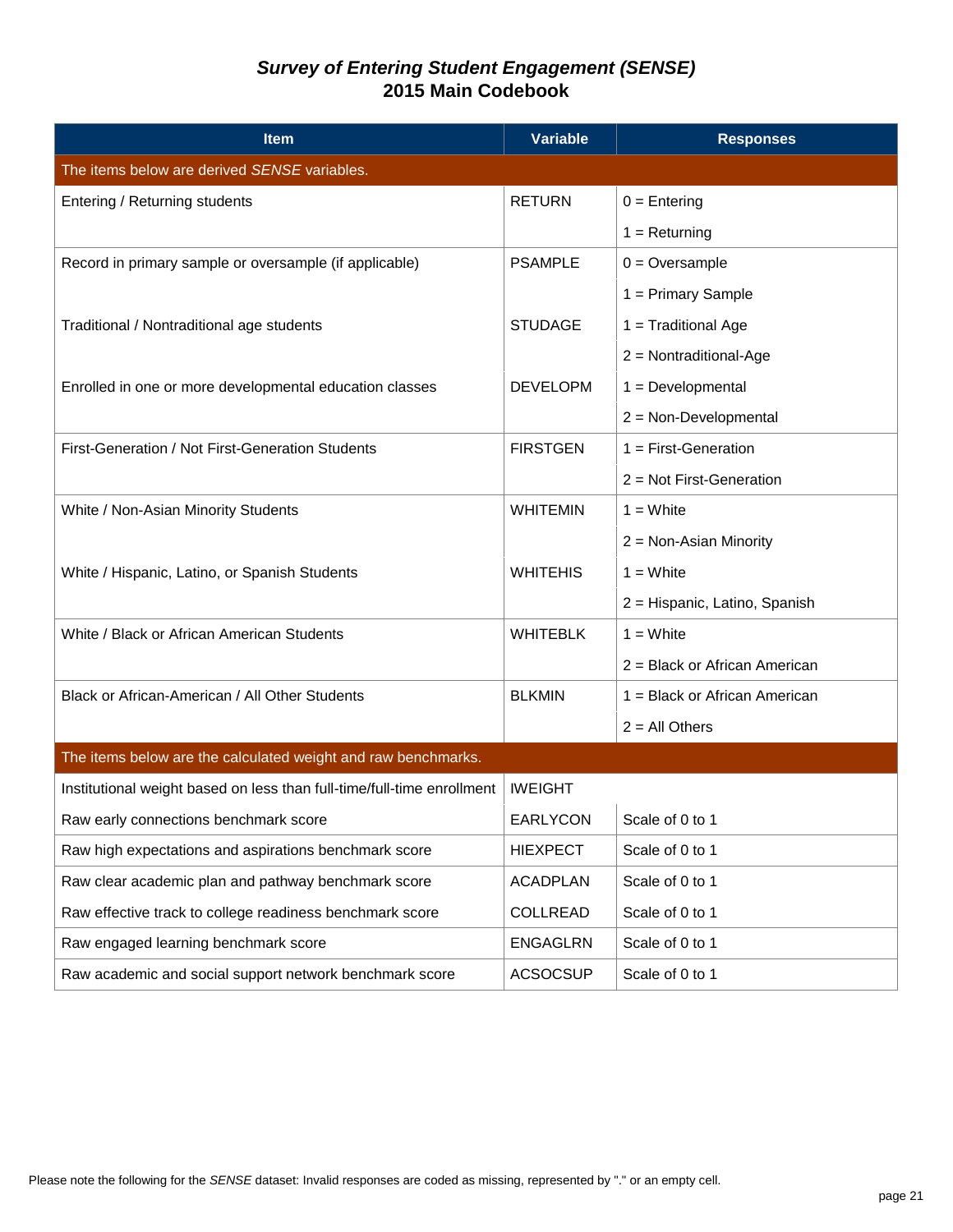| <b>Item</b>                                                            | <b>Variable</b> | <b>Responses</b>              |  |
|------------------------------------------------------------------------|-----------------|-------------------------------|--|
| The items below are derived SENSE variables.                           |                 |                               |  |
| Entering / Returning students                                          | <b>RETURN</b>   | $0 =$ Entering                |  |
|                                                                        |                 | $1 = Returning$               |  |
| Record in primary sample or oversample (if applicable)                 | <b>PSAMPLE</b>  | $0 =$ Oversample              |  |
|                                                                        |                 | $1 =$ Primary Sample          |  |
| Traditional / Nontraditional age students                              | <b>STUDAGE</b>  | 1 = Traditional Age           |  |
|                                                                        |                 | $2 =$ Nontraditional-Age      |  |
| Enrolled in one or more developmental education classes                | <b>DEVELOPM</b> | $1 = Development$             |  |
|                                                                        |                 | $2 = Non-Developmental$       |  |
| First-Generation / Not First-Generation Students                       | <b>FIRSTGEN</b> | $1 =$ First-Generation        |  |
|                                                                        |                 | $2 = Not First-Generation$    |  |
| White / Non-Asian Minority Students                                    | <b>WHITEMIN</b> | $1 = White$                   |  |
|                                                                        |                 | $2 = Non-Asian Minority$      |  |
| White / Hispanic, Latino, or Spanish Students                          | <b>WHITEHIS</b> | $1 = White$                   |  |
|                                                                        |                 | 2 = Hispanic, Latino, Spanish |  |
| White / Black or African American Students                             | <b>WHITEBLK</b> | $1 = White$                   |  |
|                                                                        |                 | 2 = Black or African American |  |
| Black or African-American / All Other Students                         | <b>BLKMIN</b>   | 1 = Black or African American |  |
|                                                                        |                 | $2 = All Others$              |  |
| The items below are the calculated weight and raw benchmarks.          |                 |                               |  |
| Institutional weight based on less than full-time/full-time enrollment | <b>IWEIGHT</b>  |                               |  |
| Raw early connections benchmark score                                  | EARLYCON        | Scale of 0 to 1               |  |
| Raw high expectations and aspirations benchmark score                  | <b>HIEXPECT</b> | Scale of 0 to 1               |  |
| Raw clear academic plan and pathway benchmark score                    | <b>ACADPLAN</b> | Scale of 0 to 1               |  |
| Raw effective track to college readiness benchmark score               | <b>COLLREAD</b> | Scale of 0 to 1               |  |
| Raw engaged learning benchmark score                                   | <b>ENGAGLRN</b> | Scale of 0 to 1               |  |
| Raw academic and social support network benchmark score                | <b>ACSOCSUP</b> | Scale of 0 to 1               |  |